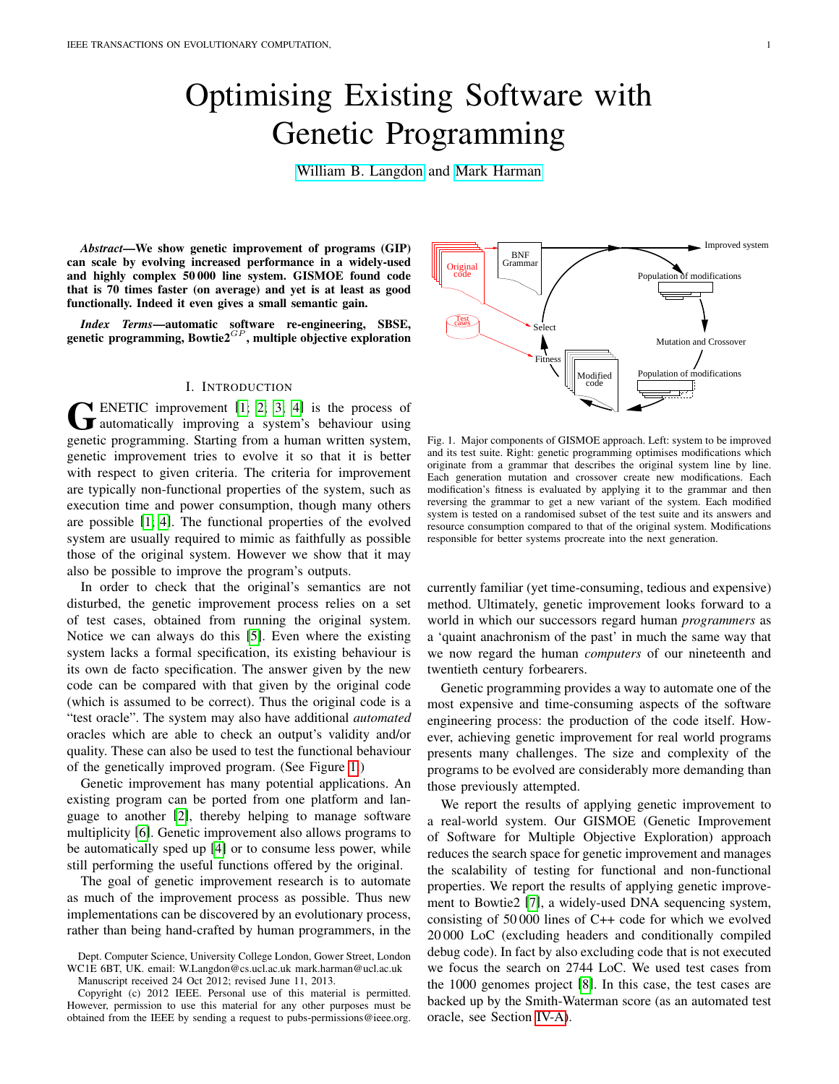# Optimising Existing Software with Genetic Programming

[William B. Langdon](http://www.cs.ucl.ac.uk/staff/W.Langdon/index.html) and [Mark Harman](http://www.cs.ucl.ac.uk/staff/M.Harman/)

*Abstract*—We show genetic improvement of programs (GIP) can scale by evolving increased performance in a widely-used and highly complex 50 000 line system. GISMOE found code that is 70 times faster (on average) and yet is at least as good functionally. Indeed it even gives a small semantic gain.

*Index Terms*—automatic software re-engineering, SBSE, genetic programming, Bowtie $2^{GP}$ , multiple objective exploration

## I. INTRODUCTION

GENETIC improvement  $[1; 2; 3; 4]$  is the process of automatically improving a system's behaviour using **ENETIC** improvement  $[1; 2; 3; 4]$  $[1; 2; 3; 4]$  $[1; 2; 3; 4]$  $[1; 2; 3; 4]$  is the process of genetic programming. Starting from a human written system, genetic improvement tries to evolve it so that it is better with respect to given criteria. The criteria for improvement are typically non-functional properties of the system, such as execution time and power consumption, though many others are possible [\[1;](#page-16-0) [4\]](#page-16-3). The functional properties of the evolved system are usually required to mimic as faithfully as possible those of the original system. However we show that it may also be possible to improve the program's outputs.

In order to check that the original's semantics are not disturbed, the genetic improvement process relies on a set of test cases, obtained from running the original system. Notice we can always do this [\[5\]](#page-16-4). Even where the existing system lacks a formal specification, its existing behaviour is its own de facto specification. The answer given by the new code can be compared with that given by the original code (which is assumed to be correct). Thus the original code is a "test oracle". The system may also have additional *automated* oracles which are able to check an output's validity and/or quality. These can also be used to test the functional behaviour of the genetically improved program. (See Figure [1.](#page-0-0))

Genetic improvement has many potential applications. An existing program can be ported from one platform and language to another [\[2\]](#page-16-1), thereby helping to manage software multiplicity [\[6\]](#page-16-5). Genetic improvement also allows programs to be automatically sped up [\[4\]](#page-16-3) or to consume less power, while still performing the useful functions offered by the original.

The goal of genetic improvement research is to automate as much of the improvement process as possible. Thus new implementations can be discovered by an evolutionary process, rather than being hand-crafted by human programmers, in the

Fitness<sup>|</sup> Select Mutation and Crossover Population of modifications Modified code Fig. 1. Major components of GISMOE approach. Left: system to be improved and its test suite. Right: genetic programming optimises modifications which originate from a grammar that describes the original system line by line. Each generation mutation and crossover create new modifications. Each modification's fitness is evaluated by applying it to the grammar and then reversing the grammar to get a new variant of the system. Each modified system is tested on a randomised subset of the test suite and its answers and resource consumption compared to that of the original system. Modifications

currently familiar (yet time-consuming, tedious and expensive) method. Ultimately, genetic improvement looks forward to a world in which our successors regard human *programmers* as a 'quaint anachronism of the past' in much the same way that we now regard the human *computers* of our nineteenth and twentieth century forbearers.

<span id="page-0-0"></span>responsible for better systems procreate into the next generation.

Genetic programming provides a way to automate one of the most expensive and time-consuming aspects of the software engineering process: the production of the code itself. However, achieving genetic improvement for real world programs presents many challenges. The size and complexity of the programs to be evolved are considerably more demanding than those previously attempted.

We report the results of applying genetic improvement to a real-world system. Our GISMOE (Genetic Improvement of Software for Multiple Objective Exploration) approach reduces the search space for genetic improvement and manages the scalability of testing for functional and non-functional properties. We report the results of applying genetic improvement to Bowtie2 [\[7\]](#page-16-6), a widely-used DNA sequencing system, consisting of 50 000 lines of C++ code for which we evolved 20 000 LoC (excluding headers and conditionally compiled debug code). In fact by also excluding code that is not executed we focus the search on 2744 LoC. We used test cases from the 1000 genomes project [\[8\]](#page-16-7). In this case, the test cases are backed up by the Smith-Waterman score (as an automated test oracle, see Section [IV-A\)](#page-7-0).



Dept. Computer Science, University College London, Gower Street, London WC1E 6BT, UK. email: W.Langdon@cs.ucl.ac.uk mark.harman@ucl.ac.uk Manuscript received 24 Oct 2012; revised June 11, 2013.

Copyright (c) 2012 IEEE. Personal use of this material is permitted. However, permission to use this material for any other purposes must be obtained from the IEEE by sending a request to pubs-permissions@ieee.org.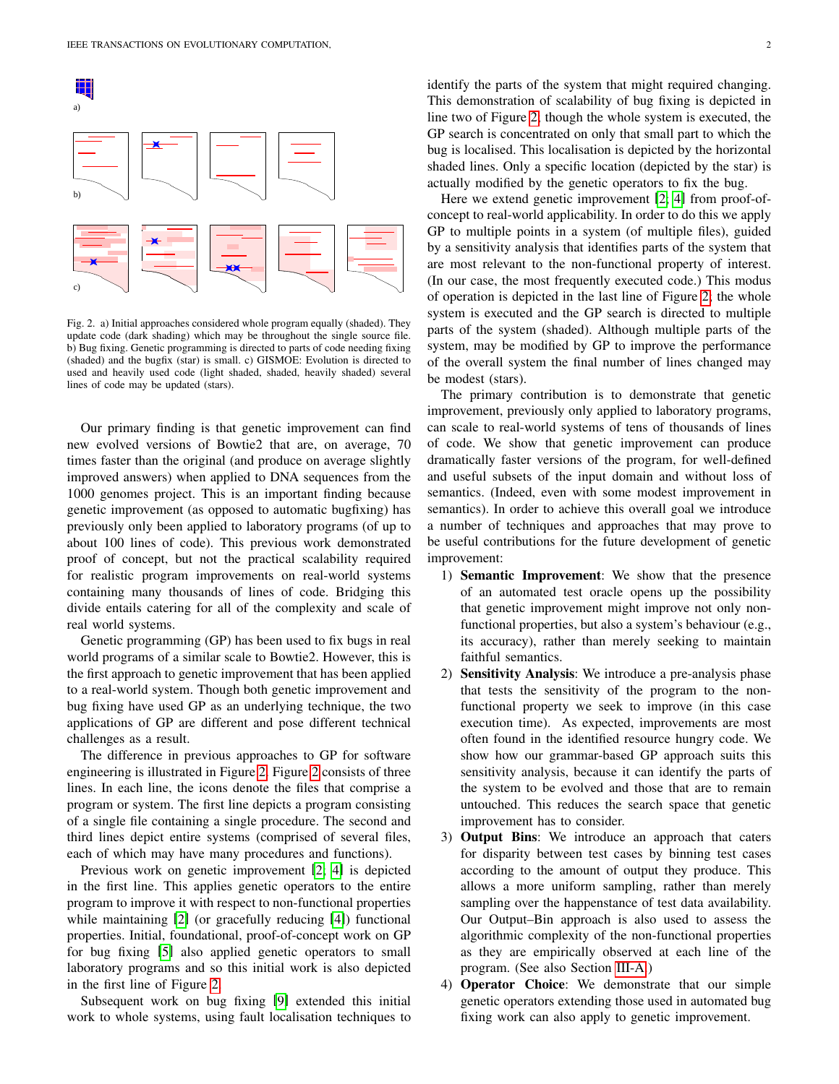₩



<span id="page-1-0"></span>Fig. 2. a) Initial approaches considered whole program equally (shaded). They update code (dark shading) which may be throughout the single source file. b) Bug fixing. Genetic programming is directed to parts of code needing fixing (shaded) and the bugfix (star) is small. c) GISMOE: Evolution is directed to used and heavily used code (light shaded, shaded, heavily shaded) several lines of code may be updated (stars).

Our primary finding is that genetic improvement can find new evolved versions of Bowtie2 that are, on average, 70 times faster than the original (and produce on average slightly improved answers) when applied to DNA sequences from the 1000 genomes project. This is an important finding because genetic improvement (as opposed to automatic bugfixing) has previously only been applied to laboratory programs (of up to about 100 lines of code). This previous work demonstrated proof of concept, but not the practical scalability required for realistic program improvements on real-world systems containing many thousands of lines of code. Bridging this divide entails catering for all of the complexity and scale of real world systems.

Genetic programming (GP) has been used to fix bugs in real world programs of a similar scale to Bowtie2. However, this is the first approach to genetic improvement that has been applied to a real-world system. Though both genetic improvement and bug fixing have used GP as an underlying technique, the two applications of GP are different and pose different technical challenges as a result.

The difference in previous approaches to GP for software engineering is illustrated in Figure [2.](#page-1-0) Figure [2](#page-1-0) consists of three lines. In each line, the icons denote the files that comprise a program or system. The first line depicts a program consisting of a single file containing a single procedure. The second and third lines depict entire systems (comprised of several files, each of which may have many procedures and functions).

Previous work on genetic improvement [\[2;](#page-16-1) [4\]](#page-16-3) is depicted in the first line. This applies genetic operators to the entire program to improve it with respect to non-functional properties while maintaining [\[2\]](#page-16-1) (or gracefully reducing [\[4\]](#page-16-3)) functional properties. Initial, foundational, proof-of-concept work on GP for bug fixing [\[5\]](#page-16-4) also applied genetic operators to small laboratory programs and so this initial work is also depicted in the first line of Figure [2.](#page-1-0)

Subsequent work on bug fixing [\[9\]](#page-16-8) extended this initial work to whole systems, using fault localisation techniques to identify the parts of the system that might required changing. This demonstration of scalability of bug fixing is depicted in line two of Figure [2;](#page-1-0) though the whole system is executed, the GP search is concentrated on only that small part to which the bug is localised. This localisation is depicted by the horizontal shaded lines. Only a specific location (depicted by the star) is actually modified by the genetic operators to fix the bug.

Here we extend genetic improvement [\[2;](#page-16-1) [4\]](#page-16-3) from proof-ofconcept to real-world applicability. In order to do this we apply GP to multiple points in a system (of multiple files), guided by a sensitivity analysis that identifies parts of the system that are most relevant to the non-functional property of interest. (In our case, the most frequently executed code.) This modus of operation is depicted in the last line of Figure [2;](#page-1-0) the whole system is executed and the GP search is directed to multiple parts of the system (shaded). Although multiple parts of the system, may be modified by GP to improve the performance of the overall system the final number of lines changed may be modest (stars).

The primary contribution is to demonstrate that genetic improvement, previously only applied to laboratory programs, can scale to real-world systems of tens of thousands of lines of code. We show that genetic improvement can produce dramatically faster versions of the program, for well-defined and useful subsets of the input domain and without loss of semantics. (Indeed, even with some modest improvement in semantics). In order to achieve this overall goal we introduce a number of techniques and approaches that may prove to be useful contributions for the future development of genetic improvement:

- 1) Semantic Improvement: We show that the presence of an automated test oracle opens up the possibility that genetic improvement might improve not only nonfunctional properties, but also a system's behaviour (e.g., its accuracy), rather than merely seeking to maintain faithful semantics.
- 2) Sensitivity Analysis: We introduce a pre-analysis phase that tests the sensitivity of the program to the nonfunctional property we seek to improve (in this case execution time). As expected, improvements are most often found in the identified resource hungry code. We show how our grammar-based GP approach suits this sensitivity analysis, because it can identify the parts of the system to be evolved and those that are to remain untouched. This reduces the search space that genetic improvement has to consider.
- 3) Output Bins: We introduce an approach that caters for disparity between test cases by binning test cases according to the amount of output they produce. This allows a more uniform sampling, rather than merely sampling over the happenstance of test data availability. Our Output–Bin approach is also used to assess the algorithmic complexity of the non-functional properties as they are empirically observed at each line of the program. (See also Section [III-A.](#page-2-0))
- 4) Operator Choice: We demonstrate that our simple genetic operators extending those used in automated bug fixing work can also apply to genetic improvement.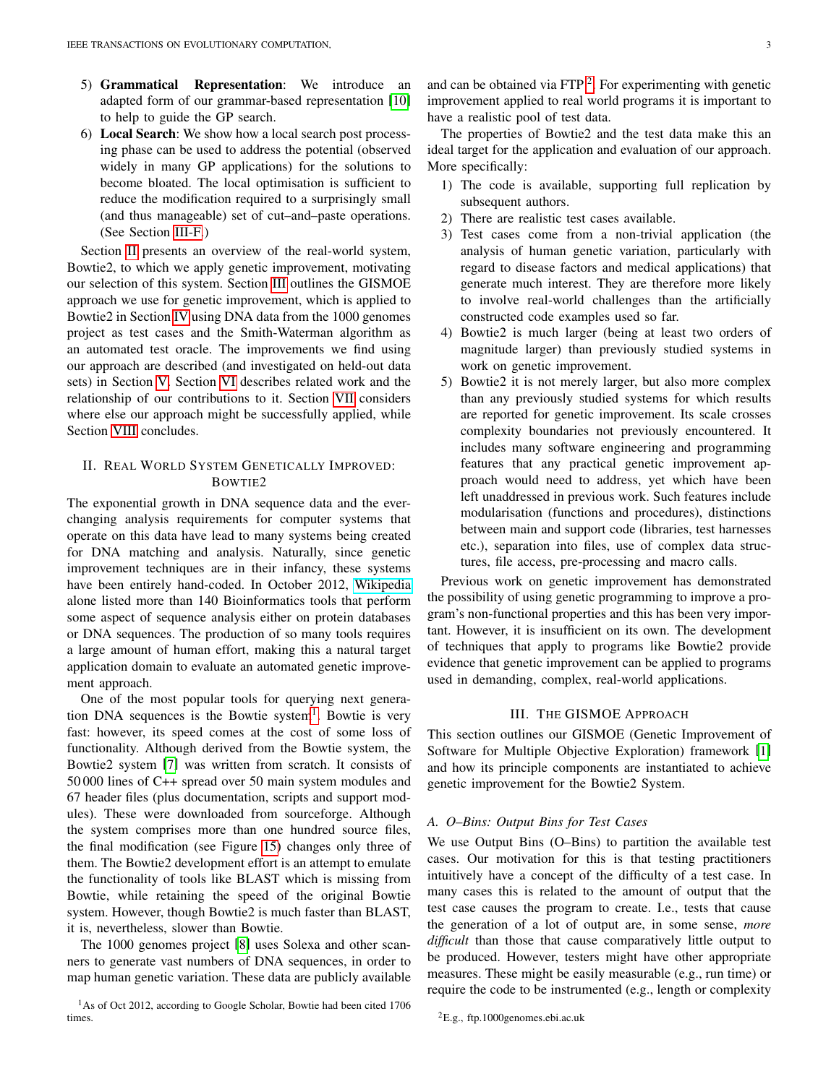- 5) Grammatical Representation: We introduce an adapted form of our grammar-based representation [\[10\]](#page-16-9) to help to guide the GP search.
- 6) Local Search: We show how a local search post processing phase can be used to address the potential (observed widely in many GP applications) for the solutions to become bloated. The local optimisation is sufficient to reduce the modification required to a surprisingly small (and thus manageable) set of cut–and–paste operations. (See Section [III-F.](#page-5-0))

Section [II](#page-2-1) presents an overview of the real-world system, Bowtie2, to which we apply genetic improvement, motivating our selection of this system. Section [III](#page-2-2) outlines the GISMOE approach we use for genetic improvement, which is applied to Bowtie2 in Section [IV](#page-7-1) using DNA data from the 1000 genomes project as test cases and the Smith-Waterman algorithm as an automated test oracle. The improvements we find using our approach are described (and investigated on held-out data sets) in Section [V.](#page-11-0) Section [VI](#page-14-0) describes related work and the relationship of our contributions to it. Section [VII](#page-15-0) considers where else our approach might be successfully applied, while Section [VIII](#page-16-10) concludes.

## <span id="page-2-1"></span>II. REAL WORLD SYSTEM GENETICALLY IMPROVED: BOWTIE2

The exponential growth in DNA sequence data and the everchanging analysis requirements for computer systems that operate on this data have lead to many systems being created for DNA matching and analysis. Naturally, since genetic improvement techniques are in their infancy, these systems have been entirely hand-coded. In October 2012, [Wikipedia](http://en.wikipedia.org/wiki/List_of_sequence_alignment_software) alone listed more than 140 Bioinformatics tools that perform some aspect of sequence analysis either on protein databases or DNA sequences. The production of so many tools requires a large amount of human effort, making this a natural target application domain to evaluate an automated genetic improvement approach.

One of the most popular tools for querying next genera-tion DNA sequences is the Bowtie system<sup>[1](#page-2-3)</sup>. Bowtie is very fast: however, its speed comes at the cost of some loss of functionality. Although derived from the Bowtie system, the Bowtie2 system [\[7\]](#page-16-6) was written from scratch. It consists of 50 000 lines of C++ spread over 50 main system modules and 67 header files (plus documentation, scripts and support modules). These were downloaded from sourceforge. Although the system comprises more than one hundred source files, the final modification (see Figure [15\)](#page-13-0) changes only three of them. The Bowtie2 development effort is an attempt to emulate the functionality of tools like BLAST which is missing from Bowtie, while retaining the speed of the original Bowtie system. However, though Bowtie2 is much faster than BLAST, it is, nevertheless, slower than Bowtie.

The 1000 genomes project [\[8\]](#page-16-7) uses Solexa and other scanners to generate vast numbers of DNA sequences, in order to map human genetic variation. These data are publicly available

and can be obtained via FTP  $2$ . For experimenting with genetic improvement applied to real world programs it is important to have a realistic pool of test data.

The properties of Bowtie2 and the test data make this an ideal target for the application and evaluation of our approach. More specifically:

- 1) The code is available, supporting full replication by subsequent authors.
- 2) There are realistic test cases available.
- 3) Test cases come from a non-trivial application (the analysis of human genetic variation, particularly with regard to disease factors and medical applications) that generate much interest. They are therefore more likely to involve real-world challenges than the artificially constructed code examples used so far.
- 4) Bowtie2 is much larger (being at least two orders of magnitude larger) than previously studied systems in work on genetic improvement.
- 5) Bowtie2 it is not merely larger, but also more complex than any previously studied systems for which results are reported for genetic improvement. Its scale crosses complexity boundaries not previously encountered. It includes many software engineering and programming features that any practical genetic improvement approach would need to address, yet which have been left unaddressed in previous work. Such features include modularisation (functions and procedures), distinctions between main and support code (libraries, test harnesses etc.), separation into files, use of complex data structures, file access, pre-processing and macro calls.

Previous work on genetic improvement has demonstrated the possibility of using genetic programming to improve a program's non-functional properties and this has been very important. However, it is insufficient on its own. The development of techniques that apply to programs like Bowtie2 provide evidence that genetic improvement can be applied to programs used in demanding, complex, real-world applications.

## III. THE GISMOE APPROACH

<span id="page-2-2"></span>This section outlines our GISMOE (Genetic Improvement of Software for Multiple Objective Exploration) framework [\[1\]](#page-16-0) and how its principle components are instantiated to achieve genetic improvement for the Bowtie2 System.

#### <span id="page-2-0"></span>*A. O–Bins: Output Bins for Test Cases*

We use Output Bins (O–Bins) to partition the available test cases. Our motivation for this is that testing practitioners intuitively have a concept of the difficulty of a test case. In many cases this is related to the amount of output that the test case causes the program to create. I.e., tests that cause the generation of a lot of output are, in some sense, *more difficult* than those that cause comparatively little output to be produced. However, testers might have other appropriate measures. These might be easily measurable (e.g., run time) or require the code to be instrumented (e.g., length or complexity

<span id="page-2-3"></span><sup>&</sup>lt;sup>1</sup>As of Oct 2012, according to Google Scholar, Bowtie had been cited 1706 times.

<span id="page-2-4"></span> ${}^{2}E.g.,$  ftp.1000genomes.ebi.ac.uk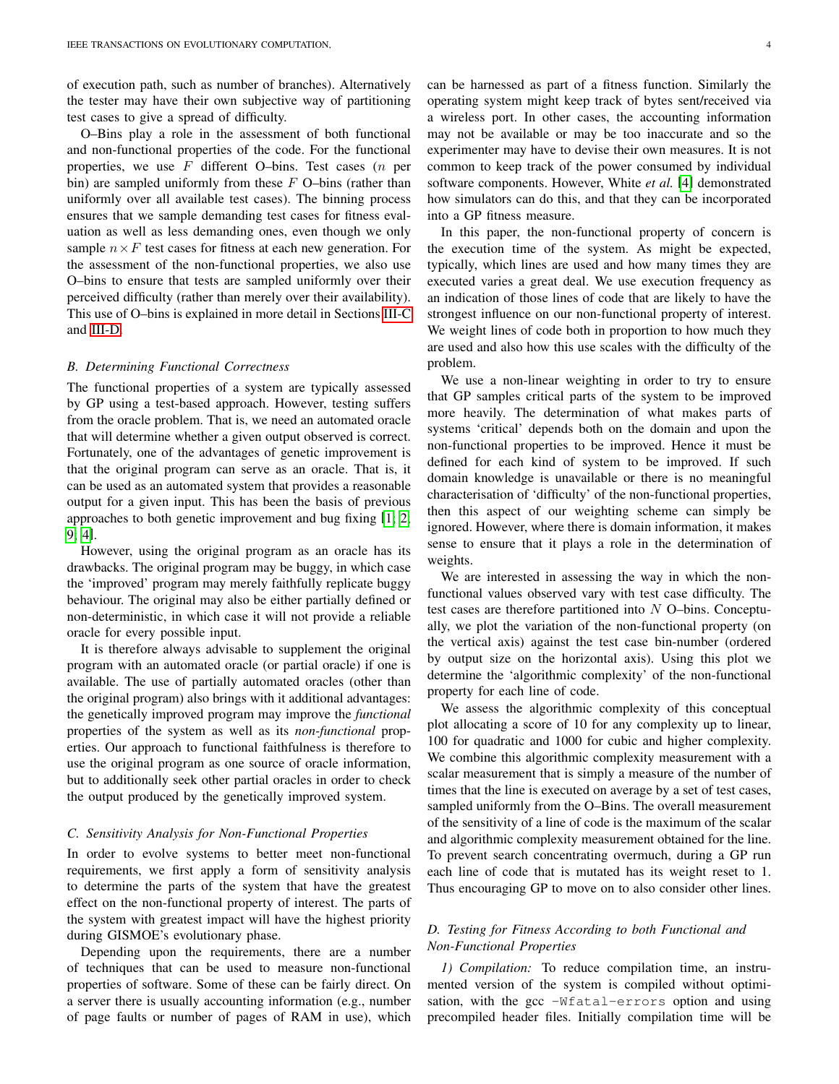of execution path, such as number of branches). Alternatively the tester may have their own subjective way of partitioning test cases to give a spread of difficulty.

O–Bins play a role in the assessment of both functional and non-functional properties of the code. For the functional properties, we use  $F$  different O–bins. Test cases  $(n \text{ per})$ bin) are sampled uniformly from these  $F$  O–bins (rather than uniformly over all available test cases). The binning process ensures that we sample demanding test cases for fitness evaluation as well as less demanding ones, even though we only sample  $n \times F$  test cases for fitness at each new generation. For the assessment of the non-functional properties, we also use O–bins to ensure that tests are sampled uniformly over their perceived difficulty (rather than merely over their availability). This use of O–bins is explained in more detail in Sections [III-C](#page-3-0) and [III-D.](#page-3-1)

## *B. Determining Functional Correctness*

The functional properties of a system are typically assessed by GP using a test-based approach. However, testing suffers from the oracle problem. That is, we need an automated oracle that will determine whether a given output observed is correct. Fortunately, one of the advantages of genetic improvement is that the original program can serve as an oracle. That is, it can be used as an automated system that provides a reasonable output for a given input. This has been the basis of previous approaches to both genetic improvement and bug fixing [\[1;](#page-16-0) [2;](#page-16-1) [9;](#page-16-8) [4\]](#page-16-3).

However, using the original program as an oracle has its drawbacks. The original program may be buggy, in which case the 'improved' program may merely faithfully replicate buggy behaviour. The original may also be either partially defined or non-deterministic, in which case it will not provide a reliable oracle for every possible input.

It is therefore always advisable to supplement the original program with an automated oracle (or partial oracle) if one is available. The use of partially automated oracles (other than the original program) also brings with it additional advantages: the genetically improved program may improve the *functional* properties of the system as well as its *non-functional* properties. Our approach to functional faithfulness is therefore to use the original program as one source of oracle information, but to additionally seek other partial oracles in order to check the output produced by the genetically improved system.

## <span id="page-3-0"></span>*C. Sensitivity Analysis for Non-Functional Properties*

In order to evolve systems to better meet non-functional requirements, we first apply a form of sensitivity analysis to determine the parts of the system that have the greatest effect on the non-functional property of interest. The parts of the system with greatest impact will have the highest priority during GISMOE's evolutionary phase.

Depending upon the requirements, there are a number of techniques that can be used to measure non-functional properties of software. Some of these can be fairly direct. On a server there is usually accounting information (e.g., number of page faults or number of pages of RAM in use), which can be harnessed as part of a fitness function. Similarly the operating system might keep track of bytes sent/received via a wireless port. In other cases, the accounting information may not be available or may be too inaccurate and so the experimenter may have to devise their own measures. It is not common to keep track of the power consumed by individual software components. However, White *et al.* [\[4\]](#page-16-3) demonstrated how simulators can do this, and that they can be incorporated into a GP fitness measure.

In this paper, the non-functional property of concern is the execution time of the system. As might be expected, typically, which lines are used and how many times they are executed varies a great deal. We use execution frequency as an indication of those lines of code that are likely to have the strongest influence on our non-functional property of interest. We weight lines of code both in proportion to how much they are used and also how this use scales with the difficulty of the problem.

We use a non-linear weighting in order to try to ensure that GP samples critical parts of the system to be improved more heavily. The determination of what makes parts of systems 'critical' depends both on the domain and upon the non-functional properties to be improved. Hence it must be defined for each kind of system to be improved. If such domain knowledge is unavailable or there is no meaningful characterisation of 'difficulty' of the non-functional properties, then this aspect of our weighting scheme can simply be ignored. However, where there is domain information, it makes sense to ensure that it plays a role in the determination of weights.

We are interested in assessing the way in which the nonfunctional values observed vary with test case difficulty. The test cases are therefore partitioned into  $N$  O–bins. Conceptually, we plot the variation of the non-functional property (on the vertical axis) against the test case bin-number (ordered by output size on the horizontal axis). Using this plot we determine the 'algorithmic complexity' of the non-functional property for each line of code.

We assess the algorithmic complexity of this conceptual plot allocating a score of 10 for any complexity up to linear, 100 for quadratic and 1000 for cubic and higher complexity. We combine this algorithmic complexity measurement with a scalar measurement that is simply a measure of the number of times that the line is executed on average by a set of test cases, sampled uniformly from the O–Bins. The overall measurement of the sensitivity of a line of code is the maximum of the scalar and algorithmic complexity measurement obtained for the line. To prevent search concentrating overmuch, during a GP run each line of code that is mutated has its weight reset to 1. Thus encouraging GP to move on to also consider other lines.

## <span id="page-3-1"></span>*D. Testing for Fitness According to both Functional and Non-Functional Properties*

*1) Compilation:* To reduce compilation time, an instrumented version of the system is compiled without optimisation, with the gcc -Wfatal-errors option and using precompiled header files. Initially compilation time will be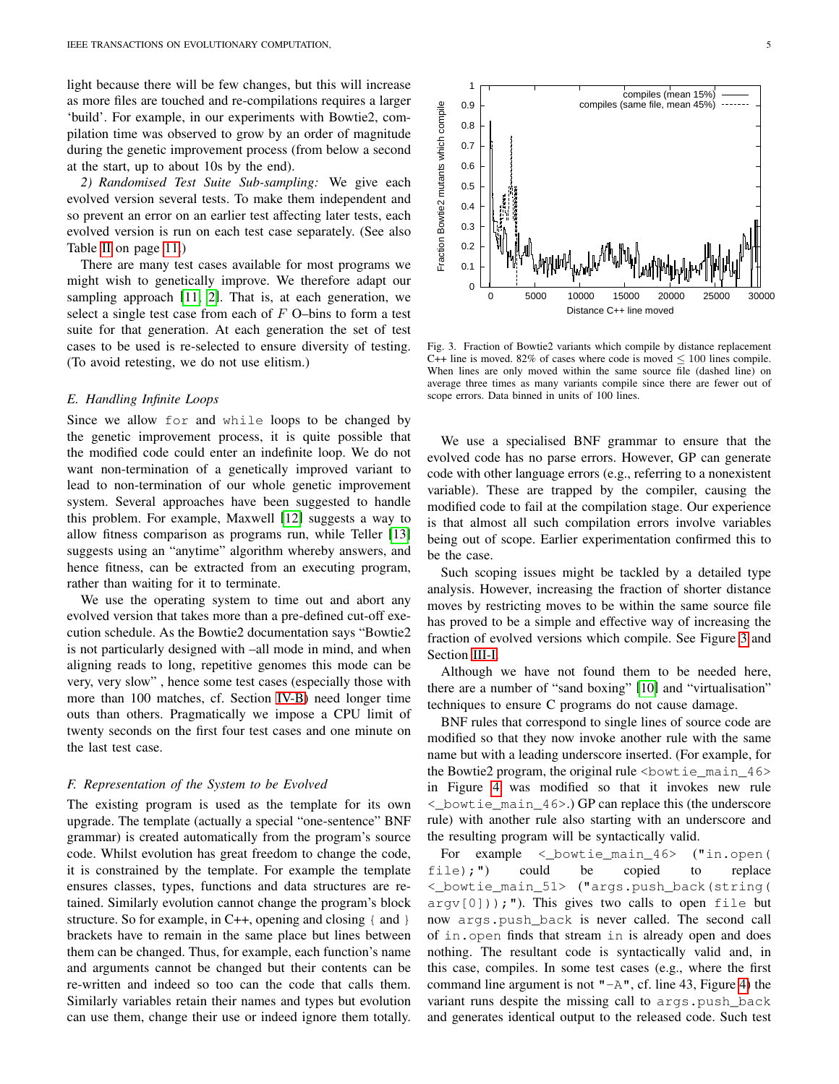light because there will be few changes, but this will increase as more files are touched and re-compilations requires a larger 'build'. For example, in our experiments with Bowtie2, compilation time was observed to grow by an order of magnitude during the genetic improvement process (from below a second at the start, up to about 10s by the end).

*2) Randomised Test Suite Sub-sampling:* We give each evolved version several tests. To make them independent and so prevent an error on an earlier test affecting later tests, each evolved version is run on each test case separately. (See also Table [II](#page-10-0) on page [11.](#page-10-0))

There are many test cases available for most programs we might wish to genetically improve. We therefore adapt our sampling approach [\[11;](#page-16-11) [2\]](#page-16-1). That is, at each generation, we select a single test case from each of  $F$  O–bins to form a test suite for that generation. At each generation the set of test cases to be used is re-selected to ensure diversity of testing. (To avoid retesting, we do not use elitism.)

## *E. Handling Infinite Loops*

Since we allow for and while loops to be changed by the genetic improvement process, it is quite possible that the modified code could enter an indefinite loop. We do not want non-termination of a genetically improved variant to lead to non-termination of our whole genetic improvement system. Several approaches have been suggested to handle this problem. For example, Maxwell [\[12\]](#page-16-12) suggests a way to allow fitness comparison as programs run, while Teller [\[13\]](#page-16-13) suggests using an "anytime" algorithm whereby answers, and hence fitness, can be extracted from an executing program, rather than waiting for it to terminate.

We use the operating system to time out and abort any evolved version that takes more than a pre-defined cut-off execution schedule. As the Bowtie2 documentation says "Bowtie2 is not particularly designed with –all mode in mind, and when aligning reads to long, repetitive genomes this mode can be very, very slow" , hence some test cases (especially those with more than 100 matches, cf. Section [IV-B\)](#page-8-0) need longer time outs than others. Pragmatically we impose a CPU limit of twenty seconds on the first four test cases and one minute on the last test case.

## <span id="page-4-1"></span>*F. Representation of the System to be Evolved*

The existing program is used as the template for its own upgrade. The template (actually a special "one-sentence" BNF grammar) is created automatically from the program's source code. Whilst evolution has great freedom to change the code, it is constrained by the template. For example the template ensures classes, types, functions and data structures are retained. Similarly evolution cannot change the program's block structure. So for example, in C++, opening and closing  $\{$  and  $\}$ brackets have to remain in the same place but lines between them can be changed. Thus, for example, each function's name and arguments cannot be changed but their contents can be re-written and indeed so too can the code that calls them. Similarly variables retain their names and types but evolution can use them, change their use or indeed ignore them totally.

<span id="page-4-0"></span>Distance C++ line moved Fig. 3. Fraction of Bowtie2 variants which compile by distance replacement C $++$  line is moved. 82% of cases where code is moved  $\leq 100$  lines compile. When lines are only moved within the same source file (dashed line) on average three times as many variants compile since there are fewer out of

scope errors. Data binned in units of 100 lines.

We use a specialised BNF grammar to ensure that the evolved code has no parse errors. However, GP can generate code with other language errors (e.g., referring to a nonexistent variable). These are trapped by the compiler, causing the modified code to fail at the compilation stage. Our experience is that almost all such compilation errors involve variables being out of scope. Earlier experimentation confirmed this to be the case.

Such scoping issues might be tackled by a detailed type analysis. However, increasing the fraction of shorter distance moves by restricting moves to be within the same source file has proved to be a simple and effective way of increasing the fraction of evolved versions which compile. See Figure [3](#page-4-0) and Section [III-I.](#page-6-0)

Although we have not found them to be needed here, there are a number of "sand boxing" [\[10\]](#page-16-9) and "virtualisation" techniques to ensure C programs do not cause damage.

BNF rules that correspond to single lines of source code are modified so that they now invoke another rule with the same name but with a leading underscore inserted. (For example, for the Bowtie2 program, the original rule  $\textless$  bowtie\_main\_46> in Figure [4](#page-5-1) was modified so that it invokes new rule <\_bowtie\_main\_46>.) GP can replace this (the underscore rule) with another rule also starting with an underscore and the resulting program will be syntactically valid.

For example <\_bowtie\_main\_46> ("in.open( file);") could be copied to replace <\_bowtie\_main\_51> ("args.push\_back(string(  $argv[0])$ ; "). This gives two calls to open file but now args.push\_back is never called. The second call of in.open finds that stream in is already open and does nothing. The resultant code is syntactically valid and, in this case, compiles. In some test cases (e.g., where the first command line argument is not  $" -A", cf.$  line 43, Figure [4\)](#page-5-1) the variant runs despite the missing call to args.push\_back and generates identical output to the released code. Such test

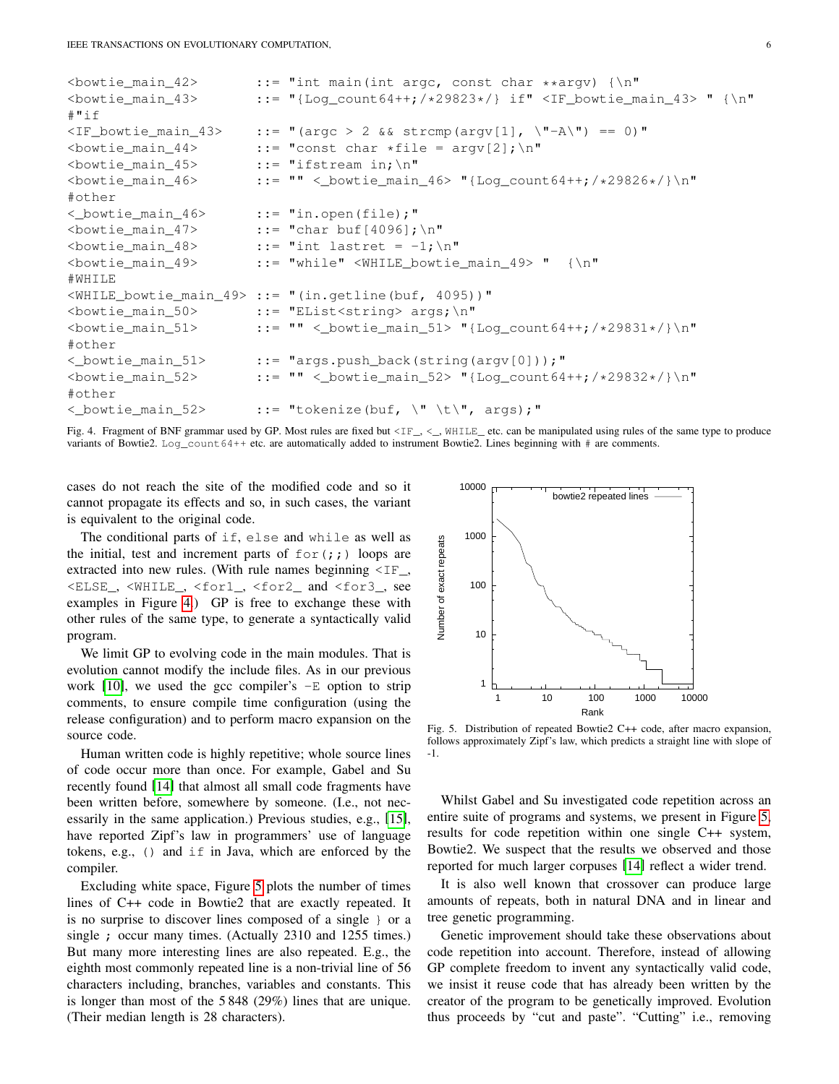IEEE TRANSACTIONS ON EVOLUTIONARY COMPUTATION, 6

```
\forall <br/>bowtie_main_42> ::= "int main(int argc, const char **argv) {\n"
\forall <br/>bowtie_main_43> ::= "{Loq_count64++;/*29823*/} if" <IF_bowtie_main_43> " {\n"
#"if
\langleIF_bowtie_main_43> ::= "(argc > 2 && strcmp(argv[1], \"-A\") == 0)"
\text{&}\text{double\_main\_44>} ::= "const char \text{while} = \text{argv[2]}; \text{in"}<br>
\text{&}\text{double\_main\_45>} ::= "ifstream in; \n"
                         ::= "ifstream in; \n"
<bowtie_main_46> ::= "" <_bowtie_main_46> "{Log_count64++;/*29826*/}\n"
#other
< bowtie main 46> ::= "in.open(file);"
\forallbowtie main 47> ::= "char buf[4096];\n"
<bowtie main 48> ::= "int lastret = -1; \n"
<bowtie_main_49> ::= "while" <WHILE_bowtie_main_49> " {\n"
#WHILE
<WHILE_bowtie_main_49> ::= "(in.getline(buf, 4095))"
<bowtie_main_50> ::= "EList<string> args;\n"
<bowtie_main_51> ::= "" <_bowtie_main_51> "{Log_count64++;/*29831*/}\n"
#other
\leq bowtie_main_51> ::= "args.push_back(string(argv[0]));"
\forall <br/>bowtie_main_52> ::= "" <_bowtie_main_52> "{Log_count64++;/*29832*/}\n"
#other
\leqbowtie_main_52> ::= "tokenize(buf, \" \t\", args);"
```
<span id="page-5-1"></span>Fig. 4. Fragment of BNF grammar used by GP. Most rules are fixed but <IF\_, <\_, WHILE\_ etc. can be manipulated using rules of the same type to produce variants of Bowtie2. Log\_count 64++ etc. are automatically added to instrument Bowtie2. Lines beginning with # are comments.

cases do not reach the site of the modified code and so it cannot propagate its effects and so, in such cases, the variant is equivalent to the original code.

The conditional parts of if, else and while as well as the initial, test and increment parts of  $for (;;)$  loops are extracted into new rules. (With rule names beginning  $\leq$  IF\_, <ELSE\_, <WHILE\_, <for1\_, <for2\_ and <for3\_, see examples in Figure [4.](#page-5-1)) GP is free to exchange these with other rules of the same type, to generate a syntactically valid program.

We limit GP to evolving code in the main modules. That is evolution cannot modify the include files. As in our previous work  $[10]$ , we used the gcc compiler's  $-E$  option to strip comments, to ensure compile time configuration (using the release configuration) and to perform macro expansion on the source code.

Human written code is highly repetitive; whole source lines of code occur more than once. For example, Gabel and Su recently found [\[14\]](#page-16-14) that almost all small code fragments have been written before, somewhere by someone. (I.e., not necessarily in the same application.) Previous studies, e.g., [\[15\]](#page-16-15), have reported Zipf's law in programmers' use of language tokens, e.g., () and if in Java, which are enforced by the compiler.

Excluding white space, Figure [5](#page-5-0) plots the number of times lines of C++ code in Bowtie2 that are exactly repeated. It is no surprise to discover lines composed of a single } or a single ; occur many times. (Actually 2310 and 1255 times.) But many more interesting lines are also repeated. E.g., the eighth most commonly repeated line is a non-trivial line of 56 characters including, branches, variables and constants. This is longer than most of the 5 848 (29%) lines that are unique. (Their median length is 28 characters).



<span id="page-5-0"></span>Fig. 5. Distribution of repeated Bowtie2 C++ code, after macro expansion, follows approximately Zipf's law, which predicts a straight line with slope of -1.

Whilst Gabel and Su investigated code repetition across an entire suite of programs and systems, we present in Figure [5,](#page-5-0) results for code repetition within one single C++ system, Bowtie2. We suspect that the results we observed and those reported for much larger corpuses [\[14\]](#page-16-14) reflect a wider trend.

It is also well known that crossover can produce large amounts of repeats, both in natural DNA and in linear and tree genetic programming.

Genetic improvement should take these observations about code repetition into account. Therefore, instead of allowing GP complete freedom to invent any syntactically valid code, we insist it reuse code that has already been written by the creator of the program to be genetically improved. Evolution thus proceeds by "cut and paste". "Cutting" i.e., removing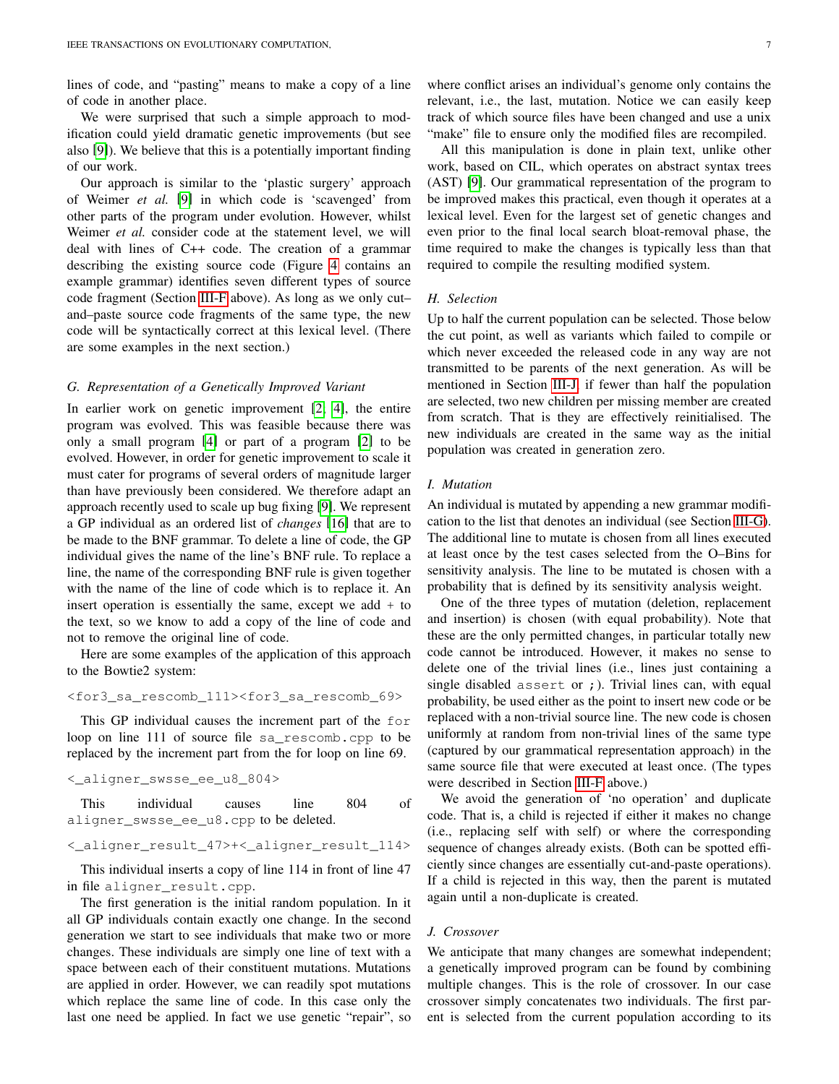lines of code, and "pasting" means to make a copy of a line of code in another place.

We were surprised that such a simple approach to modification could yield dramatic genetic improvements (but see also [\[9\]](#page-16-8)). We believe that this is a potentially important finding of our work.

Our approach is similar to the 'plastic surgery' approach of Weimer *et al.* [\[9\]](#page-16-8) in which code is 'scavenged' from other parts of the program under evolution. However, whilst Weimer *et al.* consider code at the statement level, we will deal with lines of C++ code. The creation of a grammar describing the existing source code (Figure [4](#page-5-1) contains an example grammar) identifies seven different types of source code fragment (Section [III-F](#page-5-1) above). As long as we only cut– and–paste source code fragments of the same type, the new code will be syntactically correct at this lexical level. (There are some examples in the next section.)

## <span id="page-6-2"></span>*G. Representation of a Genetically Improved Variant*

In earlier work on genetic improvement [\[2;](#page-16-1) [4\]](#page-16-3), the entire program was evolved. This was feasible because there was only a small program [\[4\]](#page-16-3) or part of a program [\[2\]](#page-16-1) to be evolved. However, in order for genetic improvement to scale it must cater for programs of several orders of magnitude larger than have previously been considered. We therefore adapt an approach recently used to scale up bug fixing [\[9\]](#page-16-8). We represent a GP individual as an ordered list of *changes* [\[16\]](#page-16-16) that are to be made to the BNF grammar. To delete a line of code, the GP individual gives the name of the line's BNF rule. To replace a line, the name of the corresponding BNF rule is given together with the name of the line of code which is to replace it. An insert operation is essentially the same, except we add + to the text, so we know to add a copy of the line of code and not to remove the original line of code.

Here are some examples of the application of this approach to the Bowtie2 system:

<for3\_sa\_rescomb\_111><for3\_sa\_rescomb\_69>

This GP individual causes the increment part of the for loop on line 111 of source file sa\_rescomb.cpp to be replaced by the increment part from the for loop on line 69.

<\_aligner\_swsse\_ee\_u8\_804>

This individual causes line 804 of aligner\_swsse\_ee\_u8.cpp to be deleted.

<\_aligner\_result\_47>+<\_aligner\_result\_114>

This individual inserts a copy of line 114 in front of line 47 in file aligner\_result.cpp.

The first generation is the initial random population. In it all GP individuals contain exactly one change. In the second generation we start to see individuals that make two or more changes. These individuals are simply one line of text with a space between each of their constituent mutations. Mutations are applied in order. However, we can readily spot mutations which replace the same line of code. In this case only the last one need be applied. In fact we use genetic "repair", so

where conflict arises an individual's genome only contains the relevant, i.e., the last, mutation. Notice we can easily keep track of which source files have been changed and use a unix "make" file to ensure only the modified files are recompiled.

All this manipulation is done in plain text, unlike other work, based on CIL, which operates on abstract syntax trees (AST) [\[9\]](#page-16-8). Our grammatical representation of the program to be improved makes this practical, even though it operates at a lexical level. Even for the largest set of genetic changes and even prior to the final local search bloat-removal phase, the time required to make the changes is typically less than that required to compile the resulting modified system.

#### <span id="page-6-3"></span>*H. Selection*

Up to half the current population can be selected. Those below the cut point, as well as variants which failed to compile or which never exceeded the released code in any way are not transmitted to be parents of the next generation. As will be mentioned in Section [III-J,](#page-6-1) if fewer than half the population are selected, two new children per missing member are created from scratch. That is they are effectively reinitialised. The new individuals are created in the same way as the initial population was created in generation zero.

## <span id="page-6-0"></span>*I. Mutation*

An individual is mutated by appending a new grammar modification to the list that denotes an individual (see Section [III-G\)](#page-6-2). The additional line to mutate is chosen from all lines executed at least once by the test cases selected from the O–Bins for sensitivity analysis. The line to be mutated is chosen with a probability that is defined by its sensitivity analysis weight.

One of the three types of mutation (deletion, replacement and insertion) is chosen (with equal probability). Note that these are the only permitted changes, in particular totally new code cannot be introduced. However, it makes no sense to delete one of the trivial lines (i.e., lines just containing a single disabled assert or  $\gamma$ ). Trivial lines can, with equal probability, be used either as the point to insert new code or be replaced with a non-trivial source line. The new code is chosen uniformly at random from non-trivial lines of the same type (captured by our grammatical representation approach) in the same source file that were executed at least once. (The types were described in Section [III-F](#page-5-1) above.)

We avoid the generation of 'no operation' and duplicate code. That is, a child is rejected if either it makes no change (i.e., replacing self with self) or where the corresponding sequence of changes already exists. (Both can be spotted efficiently since changes are essentially cut-and-paste operations). If a child is rejected in this way, then the parent is mutated again until a non-duplicate is created.

## <span id="page-6-1"></span>*J. Crossover*

We anticipate that many changes are somewhat independent; a genetically improved program can be found by combining multiple changes. This is the role of crossover. In our case crossover simply concatenates two individuals. The first parent is selected from the current population according to its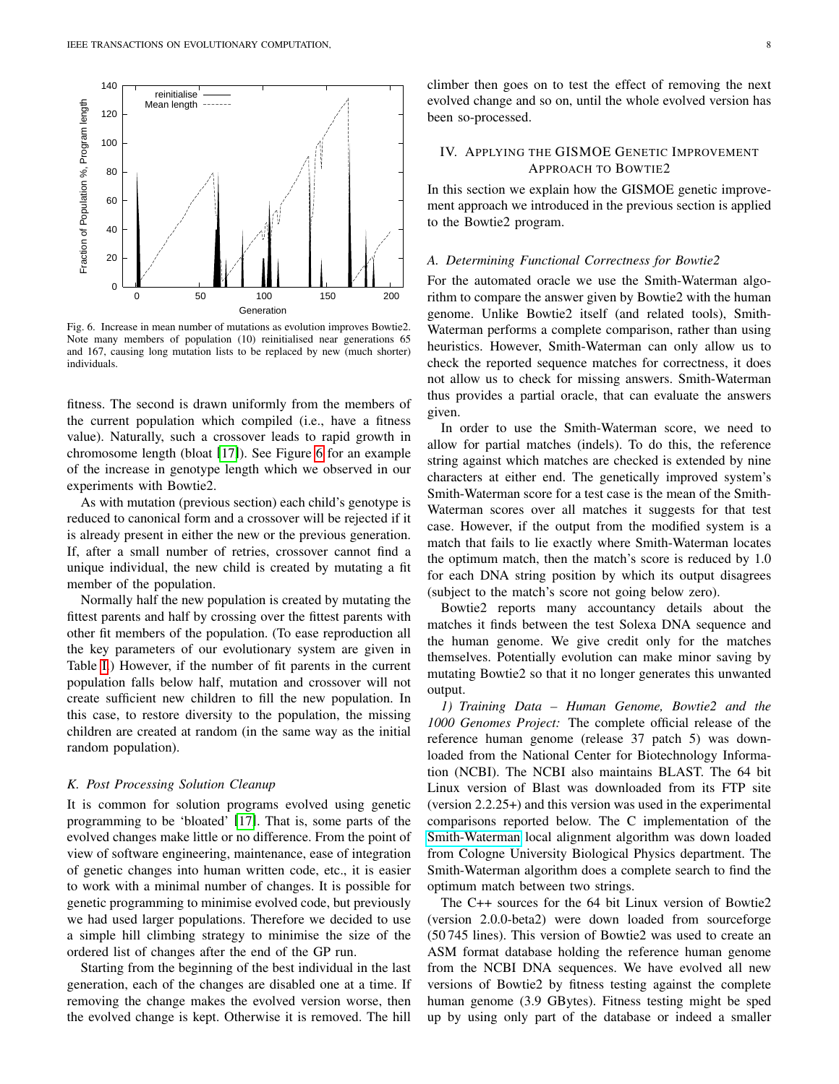

<span id="page-7-2"></span>Fig. 6. Increase in mean number of mutations as evolution improves Bowtie2. Note many members of population (10) reinitialised near generations 65 and 167, causing long mutation lists to be replaced by new (much shorter) individuals.

fitness. The second is drawn uniformly from the members of the current population which compiled (i.e., have a fitness value). Naturally, such a crossover leads to rapid growth in chromosome length (bloat [\[17\]](#page-16-17)). See Figure [6](#page-7-2) for an example of the increase in genotype length which we observed in our experiments with Bowtie2.

As with mutation (previous section) each child's genotype is reduced to canonical form and a crossover will be rejected if it is already present in either the new or the previous generation. If, after a small number of retries, crossover cannot find a unique individual, the new child is created by mutating a fit member of the population.

Normally half the new population is created by mutating the fittest parents and half by crossing over the fittest parents with other fit members of the population. (To ease reproduction all the key parameters of our evolutionary system are given in Table [I.](#page-8-1)) However, if the number of fit parents in the current population falls below half, mutation and crossover will not create sufficient new children to fill the new population. In this case, to restore diversity to the population, the missing children are created at random (in the same way as the initial random population).

## <span id="page-7-3"></span>*K. Post Processing Solution Cleanup*

It is common for solution programs evolved using genetic programming to be 'bloated' [\[17\]](#page-16-17). That is, some parts of the evolved changes make little or no difference. From the point of view of software engineering, maintenance, ease of integration of genetic changes into human written code, etc., it is easier to work with a minimal number of changes. It is possible for genetic programming to minimise evolved code, but previously we had used larger populations. Therefore we decided to use a simple hill climbing strategy to minimise the size of the ordered list of changes after the end of the GP run.

Starting from the beginning of the best individual in the last generation, each of the changes are disabled one at a time. If removing the change makes the evolved version worse, then the evolved change is kept. Otherwise it is removed. The hill climber then goes on to test the effect of removing the next evolved change and so on, until the whole evolved version has been so-processed.

## <span id="page-7-1"></span>IV. APPLYING THE GISMOE GENETIC IMPROVEMENT APPROACH TO BOWTIE2

In this section we explain how the GISMOE genetic improvement approach we introduced in the previous section is applied to the Bowtie2 program.

## <span id="page-7-0"></span>*A. Determining Functional Correctness for Bowtie2*

For the automated oracle we use the Smith-Waterman algorithm to compare the answer given by Bowtie2 with the human genome. Unlike Bowtie2 itself (and related tools), Smith-Waterman performs a complete comparison, rather than using heuristics. However, Smith-Waterman can only allow us to check the reported sequence matches for correctness, it does not allow us to check for missing answers. Smith-Waterman thus provides a partial oracle, that can evaluate the answers given.

In order to use the Smith-Waterman score, we need to allow for partial matches (indels). To do this, the reference string against which matches are checked is extended by nine characters at either end. The genetically improved system's Smith-Waterman score for a test case is the mean of the Smith-Waterman scores over all matches it suggests for that test case. However, if the output from the modified system is a match that fails to lie exactly where Smith-Waterman locates the optimum match, then the match's score is reduced by 1.0 for each DNA string position by which its output disagrees (subject to the match's score not going below zero).

Bowtie2 reports many accountancy details about the matches it finds between the test Solexa DNA sequence and the human genome. We give credit only for the matches themselves. Potentially evolution can make minor saving by mutating Bowtie2 so that it no longer generates this unwanted output.

*1) Training Data – Human Genome, Bowtie2 and the 1000 Genomes Project:* The complete official release of the reference human genome (release 37 patch 5) was downloaded from the National Center for Biotechnology Information (NCBI). The NCBI also maintains BLAST. The 64 bit Linux version of Blast was downloaded from its FTP site (version 2.2.25+) and this version was used in the experimental comparisons reported below. The C implementation of the [Smith-Waterman](https://wiki.uni-koeln.de/biologicalphysics/index.php/Implementation_of_the_Smith-Waterman_local_alignment_algorithm) local alignment algorithm was down loaded from Cologne University Biological Physics department. The Smith-Waterman algorithm does a complete search to find the optimum match between two strings.

The C++ sources for the 64 bit Linux version of Bowtie2 (version 2.0.0-beta2) were down loaded from sourceforge (50 745 lines). This version of Bowtie2 was used to create an ASM format database holding the reference human genome from the NCBI DNA sequences. We have evolved all new versions of Bowtie2 by fitness testing against the complete human genome (3.9 GBytes). Fitness testing might be sped up by using only part of the database or indeed a smaller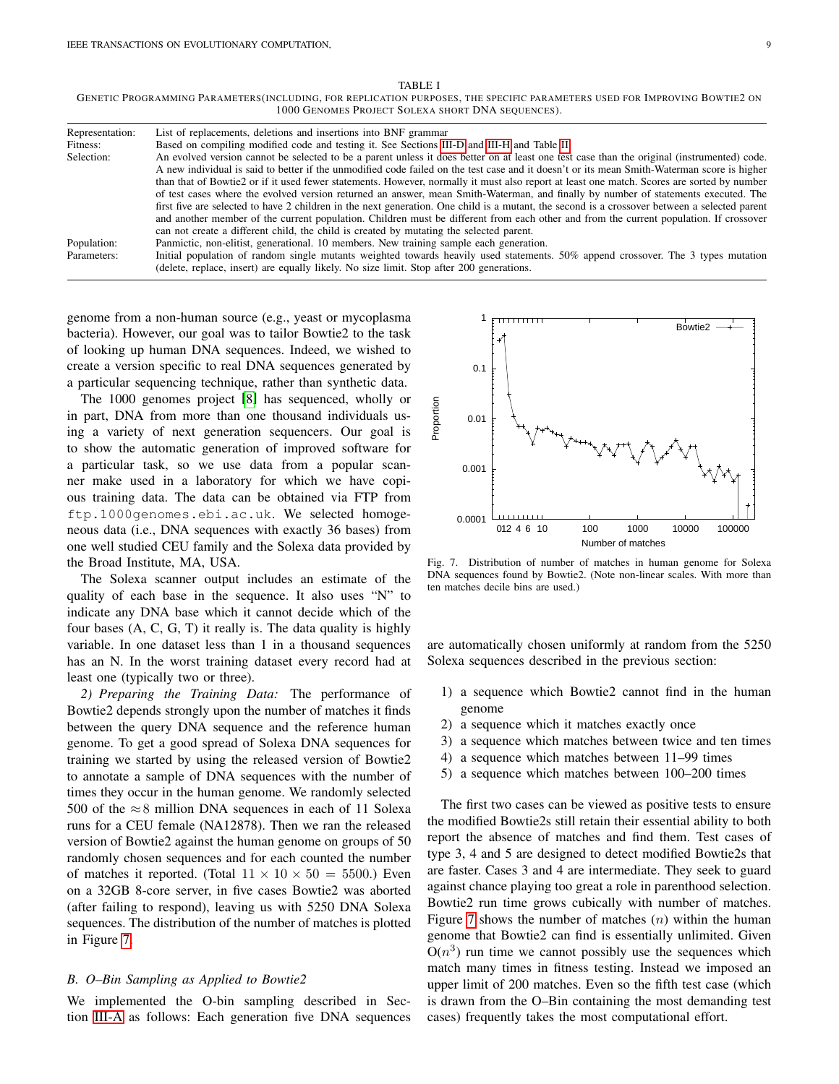<span id="page-8-1"></span>TABLE I GENETIC PROGRAMMING PARAMETERS(INCLUDING, FOR REPLICATION PURPOSES, THE SPECIFIC PARAMETERS USED FOR IMPROVING BOWTIE2 ON 1000 GENOMES PROJECT SOLEXA SHORT DNA SEQUENCES).

| Representation: | List of replacements, deletions and insertions into BNF grammar                                                                                                                                                                                                                                                                                                                                                                                                                                                                                                                |  |  |  |
|-----------------|--------------------------------------------------------------------------------------------------------------------------------------------------------------------------------------------------------------------------------------------------------------------------------------------------------------------------------------------------------------------------------------------------------------------------------------------------------------------------------------------------------------------------------------------------------------------------------|--|--|--|
| Fitness:        | Based on compiling modified code and testing it. See Sections III-D and III-H and Table II                                                                                                                                                                                                                                                                                                                                                                                                                                                                                     |  |  |  |
| Selection:      | An evolved version cannot be selected to be a parent unless it does better on at least one test case than the original (instrumented) code.<br>A new individual is said to better if the unmodified code failed on the test case and it doesn't or its mean Smith-Waterman score is higher<br>than that of Bowtie2 or if it used fewer statements. However, normally it must also report at least one match. Scores are sorted by number<br>of test cases where the evolved version returned an answer, mean Smith-Waterman, and finally by number of statements executed. The |  |  |  |
|                 | first five are selected to have 2 children in the next generation. One child is a mutant, the second is a crossover between a selected parent<br>and another member of the current population. Children must be different from each other and from the current population. If crossover<br>can not create a different child, the child is created by mutating the selected parent.                                                                                                                                                                                             |  |  |  |
| Population:     | Panmictic, non-elitist, generational. 10 members. New training sample each generation.                                                                                                                                                                                                                                                                                                                                                                                                                                                                                         |  |  |  |
| Parameters:     | Initial population of random single mutants weighted towards heavily used statements. 50% append crossover. The 3 types mutation<br>(delete, replace, insert) are equally likely. No size limit. Stop after 200 generations.                                                                                                                                                                                                                                                                                                                                                   |  |  |  |

genome from a non-human source (e.g., yeast or mycoplasma bacteria). However, our goal was to tailor Bowtie2 to the task of looking up human DNA sequences. Indeed, we wished to create a version specific to real DNA sequences generated by a particular sequencing technique, rather than synthetic data.

The 1000 genomes project [\[8\]](#page-16-7) has sequenced, wholly or in part, DNA from more than one thousand individuals using a variety of next generation sequencers. Our goal is to show the automatic generation of improved software for a particular task, so we use data from a popular scanner make used in a laboratory for which we have copious training data. The data can be obtained via FTP from ftp.1000genomes.ebi.ac.uk. We selected homogeneous data (i.e., DNA sequences with exactly 36 bases) from one well studied CEU family and the Solexa data provided by the Broad Institute, MA, USA.

The Solexa scanner output includes an estimate of the quality of each base in the sequence. It also uses "N" to indicate any DNA base which it cannot decide which of the four bases (A, C, G, T) it really is. The data quality is highly variable. In one dataset less than 1 in a thousand sequences has an N. In the worst training dataset every record had at least one (typically two or three).

<span id="page-8-3"></span>*2) Preparing the Training Data:* The performance of Bowtie2 depends strongly upon the number of matches it finds between the query DNA sequence and the reference human genome. To get a good spread of Solexa DNA sequences for training we started by using the released version of Bowtie2 to annotate a sample of DNA sequences with the number of times they occur in the human genome. We randomly selected 500 of the  $\approx 8$  million DNA sequences in each of 11 Solexa runs for a CEU female (NA12878). Then we ran the released version of Bowtie2 against the human genome on groups of 50 randomly chosen sequences and for each counted the number of matches it reported. (Total  $11 \times 10 \times 50 = 5500$ .) Even on a 32GB 8-core server, in five cases Bowtie2 was aborted (after failing to respond), leaving us with 5250 DNA Solexa sequences. The distribution of the number of matches is plotted in Figure [7.](#page-8-2)

## <span id="page-8-0"></span>*B. O–Bin Sampling as Applied to Bowtie2*

We implemented the O-bin sampling described in Section [III-A](#page-2-0) as follows: Each generation five DNA sequences



<span id="page-8-2"></span>Fig. 7. Distribution of number of matches in human genome for Solexa DNA sequences found by Bowtie2. (Note non-linear scales. With more than ten matches decile bins are used.)

are automatically chosen uniformly at random from the 5250 Solexa sequences described in the previous section:

- 1) a sequence which Bowtie2 cannot find in the human genome
- 2) a sequence which it matches exactly once
- 3) a sequence which matches between twice and ten times
- 4) a sequence which matches between 11–99 times
- 5) a sequence which matches between 100–200 times

The first two cases can be viewed as positive tests to ensure the modified Bowtie2s still retain their essential ability to both report the absence of matches and find them. Test cases of type 3, 4 and 5 are designed to detect modified Bowtie2s that are faster. Cases 3 and 4 are intermediate. They seek to guard against chance playing too great a role in parenthood selection. Bowtie2 run time grows cubically with number of matches. Figure [7](#page-8-2) shows the number of matches  $(n)$  within the human genome that Bowtie2 can find is essentially unlimited. Given  $O(n^3)$  run time we cannot possibly use the sequences which match many times in fitness testing. Instead we imposed an upper limit of 200 matches. Even so the fifth test case (which is drawn from the O–Bin containing the most demanding test cases) frequently takes the most computational effort.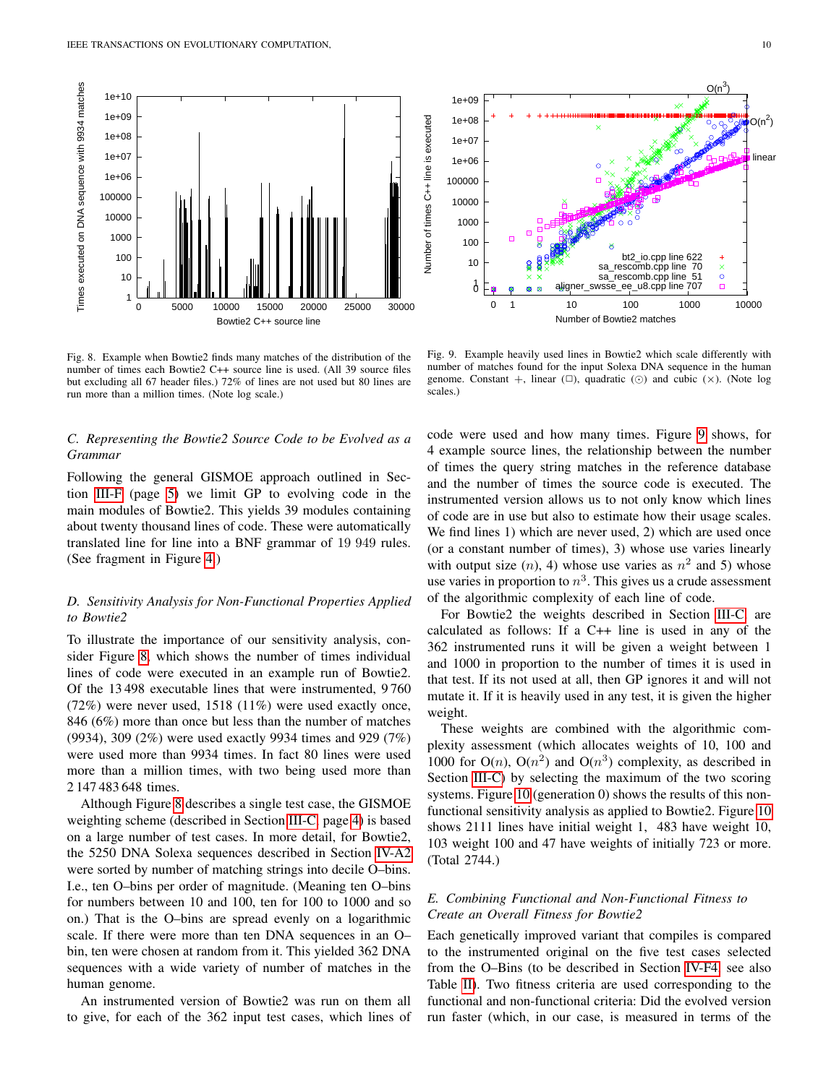

<span id="page-9-0"></span>Fig. 8. Example when Bowtie2 finds many matches of the distribution of the number of times each Bowtie2 C++ source line is used. (All 39 source files but excluding all 67 header files.) 72% of lines are not used but 80 lines are run more than a million times. (Note log scale.)

## *C. Representing the Bowtie2 Source Code to be Evolved as a Grammar*

Following the general GISMOE approach outlined in Section [III-F](#page-4-1) (page [5\)](#page-4-1) we limit GP to evolving code in the main modules of Bowtie2. This yields 39 modules containing about twenty thousand lines of code. These were automatically translated line for line into a BNF grammar of 19 949 rules. (See fragment in Figure [4.](#page-5-1))

## *D. Sensitivity Analysis for Non-Functional Properties Applied to Bowtie2*

To illustrate the importance of our sensitivity analysis, consider Figure [8,](#page-9-0) which shows the number of times individual lines of code were executed in an example run of Bowtie2. Of the 13 498 executable lines that were instrumented, 9 760 (72%) were never used, 1518 (11%) were used exactly once, 846 (6%) more than once but less than the number of matches (9934), 309 (2%) were used exactly 9934 times and 929 (7%) were used more than 9934 times. In fact 80 lines were used more than a million times, with two being used more than 2 147 483 648 times.

Although Figure [8](#page-9-0) describes a single test case, the GISMOE weighting scheme (described in Section [III-C,](#page-3-0) page [4\)](#page-3-0) is based on a large number of test cases. In more detail, for Bowtie2, the 5250 DNA Solexa sequences described in Section [IV-A2](#page-8-3) were sorted by number of matching strings into decile O–bins. I.e., ten O–bins per order of magnitude. (Meaning ten O–bins for numbers between 10 and 100, ten for 100 to 1000 and so on.) That is the O–bins are spread evenly on a logarithmic scale. If there were more than ten DNA sequences in an O– bin, ten were chosen at random from it. This yielded 362 DNA sequences with a wide variety of number of matches in the human genome.

An instrumented version of Bowtie2 was run on them all to give, for each of the 362 input test cases, which lines of



<span id="page-9-1"></span>Fig. 9. Example heavily used lines in Bowtie2 which scale differently with number of matches found for the input Solexa DNA sequence in the human genome. Constant  $+$ , linear  $(\square)$ , quadratic  $(\odot)$  and cubic  $(\times)$ . (Note log scales.)

code were used and how many times. Figure [9](#page-9-1) shows, for 4 example source lines, the relationship between the number of times the query string matches in the reference database and the number of times the source code is executed. The instrumented version allows us to not only know which lines of code are in use but also to estimate how their usage scales. We find lines 1) which are never used, 2) which are used once (or a constant number of times), 3) whose use varies linearly with output size  $(n)$ , 4) whose use varies as  $n^2$  and 5) whose use varies in proportion to  $n^3$ . This gives us a crude assessment of the algorithmic complexity of each line of code.

For Bowtie2 the weights described in Section [III-C.](#page-3-0) are calculated as follows: If a C++ line is used in any of the 362 instrumented runs it will be given a weight between 1 and 1000 in proportion to the number of times it is used in that test. If its not used at all, then GP ignores it and will not mutate it. If it is heavily used in any test, it is given the higher weight.

These weights are combined with the algorithmic complexity assessment (which allocates weights of 10, 100 and 1000 for  $O(n)$ ,  $O(n^2)$  and  $O(n^3)$  complexity, as described in Section [III-C\)](#page-3-0) by selecting the maximum of the two scoring systems. Figure [10](#page-10-1) (generation 0) shows the results of this nonfunctional sensitivity analysis as applied to Bowtie2. Figure [10](#page-10-1) shows 2111 lines have initial weight 1, 483 have weight 10, 103 weight 100 and 47 have weights of initially 723 or more. (Total 2744.)

## *E. Combining Functional and Non-Functional Fitness to Create an Overall Fitness for Bowtie2*

Each genetically improved variant that compiles is compared to the instrumented original on the five test cases selected from the O–Bins (to be described in Section [IV-F4,](#page-10-2) see also Table [II\)](#page-10-0). Two fitness criteria are used corresponding to the functional and non-functional criteria: Did the evolved version run faster (which, in our case, is measured in terms of the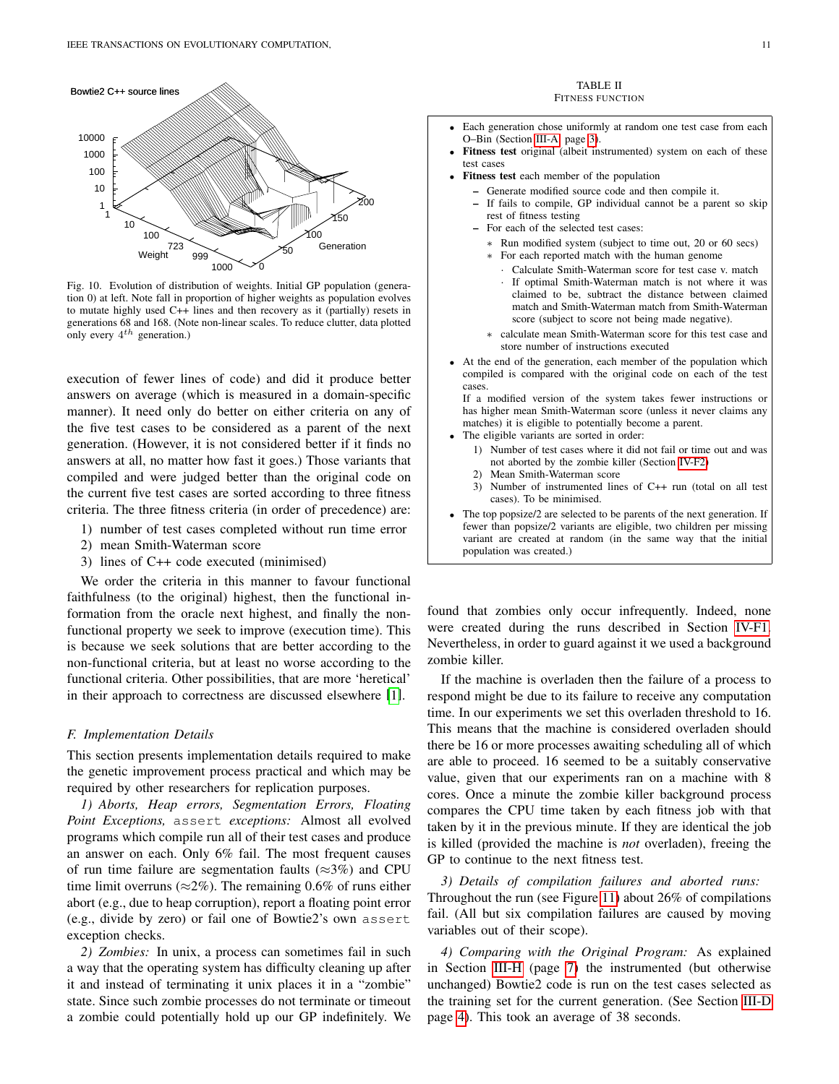

<span id="page-10-1"></span>Fig. 10. Evolution of distribution of weights. Initial GP population (generation 0) at left. Note fall in proportion of higher weights as population evolves to mutate highly used C++ lines and then recovery as it (partially) resets in generations 68 and 168. (Note non-linear scales. To reduce clutter, data plotted only every  $4^{th}$  generation.)

execution of fewer lines of code) and did it produce better answers on average (which is measured in a domain-specific manner). It need only do better on either criteria on any of the five test cases to be considered as a parent of the next generation. (However, it is not considered better if it finds no answers at all, no matter how fast it goes.) Those variants that compiled and were judged better than the original code on the current five test cases are sorted according to three fitness criteria. The three fitness criteria (in order of precedence) are:

- 1) number of test cases completed without run time error
- 2) mean Smith-Waterman score
- 3) lines of C++ code executed (minimised)

We order the criteria in this manner to favour functional faithfulness (to the original) highest, then the functional information from the oracle next highest, and finally the nonfunctional property we seek to improve (execution time). This is because we seek solutions that are better according to the non-functional criteria, but at least no worse according to the functional criteria. Other possibilities, that are more 'heretical' in their approach to correctness are discussed elsewhere [\[1\]](#page-16-0).

#### *F. Implementation Details*

This section presents implementation details required to make the genetic improvement process practical and which may be required by other researchers for replication purposes.

<span id="page-10-4"></span>*1) Aborts, Heap errors, Segmentation Errors, Floating Point Exceptions,* assert *exceptions:* Almost all evolved programs which compile run all of their test cases and produce an answer on each. Only 6% fail. The most frequent causes of run time failure are segmentation faults ( $\approx 3\%$ ) and CPU time limit overruns ( $\approx$ 2%). The remaining 0.6% of runs either abort (e.g., due to heap corruption), report a floating point error (e.g., divide by zero) or fail one of Bowtie2's own assert exception checks.

<span id="page-10-3"></span>*2) Zombies:* In unix, a process can sometimes fail in such a way that the operating system has difficulty cleaning up after it and instead of terminating it unix places it in a "zombie" state. Since such zombie processes do not terminate or timeout a zombie could potentially hold up our GP indefinitely. We

TABLE II FITNESS FUNCTION

- <span id="page-10-0"></span>Each generation chose uniformly at random one test case from each O–Bin (Section [III-A,](#page-2-0) page [3\)](#page-2-0).
- Fitness test original (albeit instrumented) system on each of these test cases
- Fitness test each member of the population
	- Generate modified source code and then compile it.
	- If fails to compile, GP individual cannot be a parent so skip rest of fitness testing
	- For each of the selected test cases:
		- ∗ Run modified system (subject to time out, 20 or 60 secs)
		- ∗ For each reported match with the human genome
			- Calculate Smith-Waterman score for test case v. match
			- · If optimal Smith-Waterman match is not where it was claimed to be, subtract the distance between claimed match and Smith-Waterman match from Smith-Waterman score (subject to score not being made negative).
		- ∗ calculate mean Smith-Waterman score for this test case and store number of instructions executed
- At the end of the generation, each member of the population which compiled is compared with the original code on each of the test cases.

If a modified version of the system takes fewer instructions or has higher mean Smith-Waterman score (unless it never claims any matches) it is eligible to potentially become a parent.

- The eligible variants are sorted in order:
	- 1) Number of test cases where it did not fail or time out and was not aborted by the zombie killer (Section [IV-F2\)](#page-10-3)
	- 2) Mean Smith-Waterman score
	- 3) Number of instrumented lines of C++ run (total on all test cases). To be minimised.
- The top popsize/2 are selected to be parents of the next generation. If fewer than popsize/2 variants are eligible, two children per missing variant are created at random (in the same way that the initial population was created.)

found that zombies only occur infrequently. Indeed, none were created during the runs described in Section [IV-F1.](#page-10-4) Nevertheless, in order to guard against it we used a background zombie killer.

If the machine is overladen then the failure of a process to respond might be due to its failure to receive any computation time. In our experiments we set this overladen threshold to 16. This means that the machine is considered overladen should there be 16 or more processes awaiting scheduling all of which are able to proceed. 16 seemed to be a suitably conservative value, given that our experiments ran on a machine with 8 cores. Once a minute the zombie killer background process compares the CPU time taken by each fitness job with that taken by it in the previous minute. If they are identical the job is killed (provided the machine is *not* overladen), freeing the GP to continue to the next fitness test.

*3) Details of compilation failures and aborted runs:* Throughout the run (see Figure [11\)](#page-11-1) about 26% of compilations fail. (All but six compilation failures are caused by moving variables out of their scope).

<span id="page-10-2"></span>*4) Comparing with the Original Program:* As explained in Section [III-H](#page-6-3) (page [7\)](#page-6-3) the instrumented (but otherwise unchanged) Bowtie2 code is run on the test cases selected as the training set for the current generation. (See Section [III-D](#page-3-1) page [4\)](#page-3-1). This took an average of 38 seconds.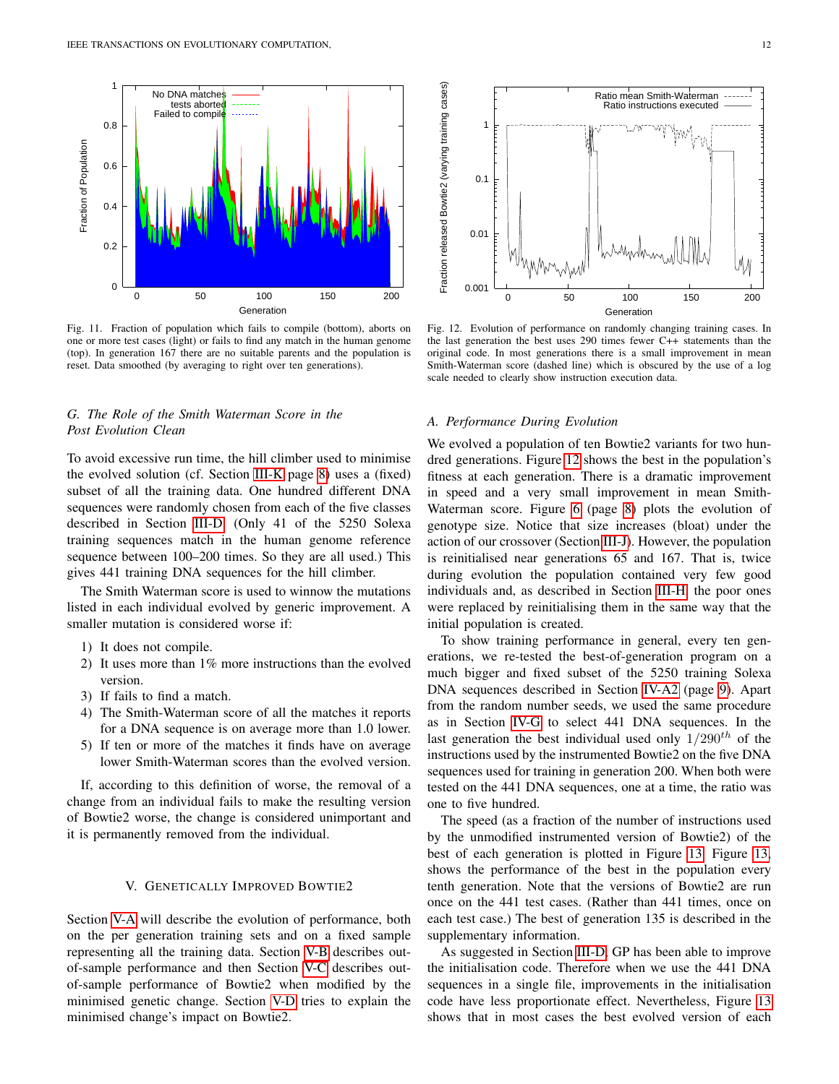

<span id="page-11-1"></span>Fig. 11. Fraction of population which fails to compile (bottom), aborts on one or more test cases (light) or fails to find any match in the human genome (top). In generation 167 there are no suitable parents and the population is reset. Data smoothed (by averaging to right over ten generations).

## <span id="page-11-4"></span>*G. The Role of the Smith Waterman Score in the Post Evolution Clean*

To avoid excessive run time, the hill climber used to minimise the evolved solution (cf. Section [III-K](#page-7-3) page [8\)](#page-7-3) uses a (fixed) subset of all the training data. One hundred different DNA sequences were randomly chosen from each of the five classes described in Section [III-D.](#page-3-1) (Only 41 of the 5250 Solexa training sequences match in the human genome reference sequence between 100–200 times. So they are all used.) This gives 441 training DNA sequences for the hill climber.

The Smith Waterman score is used to winnow the mutations listed in each individual evolved by generic improvement. A smaller mutation is considered worse if:

- 1) It does not compile.
- 2) It uses more than 1% more instructions than the evolved version.
- 3) If fails to find a match.
- 4) The Smith-Waterman score of all the matches it reports for a DNA sequence is on average more than 1.0 lower.
- 5) If ten or more of the matches it finds have on average lower Smith-Waterman scores than the evolved version.

If, according to this definition of worse, the removal of a change from an individual fails to make the resulting version of Bowtie2 worse, the change is considered unimportant and it is permanently removed from the individual.

## V. GENETICALLY IMPROVED BOWTIE2

<span id="page-11-0"></span>Section [V-A](#page-11-2) will describe the evolution of performance, both on the per generation training sets and on a fixed sample representing all the training data. Section [V-B](#page-12-0) describes outof-sample performance and then Section [V-C](#page-12-1) describes outof-sample performance of Bowtie2 when modified by the minimised genetic change. Section [V-D](#page-12-2) tries to explain the minimised change's impact on Bowtie2.



<span id="page-11-3"></span>Fig. 12. Evolution of performance on randomly changing training cases. In the last generation the best uses 290 times fewer C++ statements than the original code. In most generations there is a small improvement in mean Smith-Waterman score (dashed line) which is obscured by the use of a log scale needed to clearly show instruction execution data.

#### <span id="page-11-2"></span>*A. Performance During Evolution*

We evolved a population of ten Bowtie2 variants for two hundred generations. Figure [12](#page-11-3) shows the best in the population's fitness at each generation. There is a dramatic improvement in speed and a very small improvement in mean Smith-Waterman score. Figure [6](#page-7-2) (page [8\)](#page-7-2) plots the evolution of genotype size. Notice that size increases (bloat) under the action of our crossover (Section [III-J\)](#page-6-1). However, the population is reinitialised near generations 65 and 167. That is, twice during evolution the population contained very few good individuals and, as described in Section [III-H,](#page-6-3) the poor ones were replaced by reinitialising them in the same way that the initial population is created.

To show training performance in general, every ten generations, we re-tested the best-of-generation program on a much bigger and fixed subset of the 5250 training Solexa DNA sequences described in Section [IV-A2](#page-8-3) (page [9\)](#page-8-3). Apart from the random number seeds, we used the same procedure as in Section [IV-G](#page-11-4) to select 441 DNA sequences. In the last generation the best individual used only  $1/290^{th}$  of the instructions used by the instrumented Bowtie2 on the five DNA sequences used for training in generation 200. When both were tested on the 441 DNA sequences, one at a time, the ratio was one to five hundred.

The speed (as a fraction of the number of instructions used by the unmodified instrumented version of Bowtie2) of the best of each generation is plotted in Figure [13.](#page-12-3) Figure [13,](#page-12-3) shows the performance of the best in the population every tenth generation. Note that the versions of Bowtie2 are run once on the 441 test cases. (Rather than 441 times, once on each test case.) The best of generation 135 is described in the supplementary information.

As suggested in Section [III-D,](#page-3-1) GP has been able to improve the initialisation code. Therefore when we use the 441 DNA sequences in a single file, improvements in the initialisation code have less proportionate effect. Nevertheless, Figure [13](#page-12-3) shows that in most cases the best evolved version of each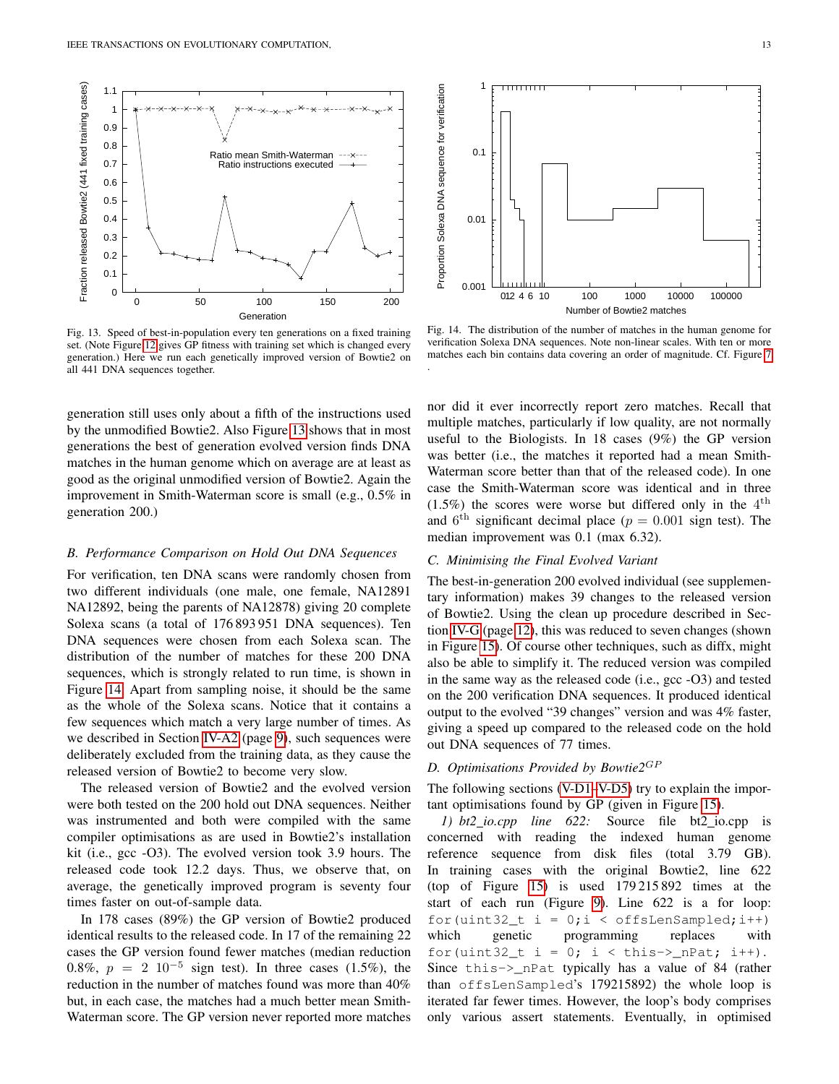

<span id="page-12-3"></span>Fig. 13. Speed of best-in-population every ten generations on a fixed training set. (Note Figure [12](#page-11-3) gives GP fitness with training set which is changed every generation.) Here we run each genetically improved version of Bowtie2 on all 441 DNA sequences together.

generation still uses only about a fifth of the instructions used by the unmodified Bowtie2. Also Figure [13](#page-12-3) shows that in most generations the best of generation evolved version finds DNA matches in the human genome which on average are at least as good as the original unmodified version of Bowtie2. Again the improvement in Smith-Waterman score is small (e.g., 0.5% in generation 200.)

## <span id="page-12-0"></span>*B. Performance Comparison on Hold Out DNA Sequences*

For verification, ten DNA scans were randomly chosen from two different individuals (one male, one female, NA12891 NA12892, being the parents of NA12878) giving 20 complete Solexa scans (a total of 176 893 951 DNA sequences). Ten DNA sequences were chosen from each Solexa scan. The distribution of the number of matches for these 200 DNA sequences, which is strongly related to run time, is shown in Figure [14.](#page-12-4) Apart from sampling noise, it should be the same as the whole of the Solexa scans. Notice that it contains a few sequences which match a very large number of times. As we described in Section [IV-A2](#page-8-3) (page [9\)](#page-8-3), such sequences were deliberately excluded from the training data, as they cause the released version of Bowtie2 to become very slow.

The released version of Bowtie2 and the evolved version were both tested on the 200 hold out DNA sequences. Neither was instrumented and both were compiled with the same compiler optimisations as are used in Bowtie2's installation kit (i.e., gcc -O3). The evolved version took 3.9 hours. The released code took 12.2 days. Thus, we observe that, on average, the genetically improved program is seventy four times faster on out-of-sample data.

In 178 cases (89%) the GP version of Bowtie2 produced identical results to the released code. In 17 of the remaining 22 cases the GP version found fewer matches (median reduction 0.8%,  $p = 2 \times 10^{-5}$  sign test). In three cases (1.5%), the reduction in the number of matches found was more than 40% but, in each case, the matches had a much better mean Smith-Waterman score. The GP version never reported more matches



<span id="page-12-4"></span>Fig. 14. The distribution of the number of matches in the human genome for verification Solexa DNA sequences. Note non-linear scales. With ten or more matches each bin contains data covering an order of magnitude. Cf. Figure [7](#page-8-2) .

nor did it ever incorrectly report zero matches. Recall that multiple matches, particularly if low quality, are not normally useful to the Biologists. In 18 cases (9%) the GP version was better (i.e., the matches it reported had a mean Smith-Waterman score better than that of the released code). In one case the Smith-Waterman score was identical and in three  $(1.5\%)$  the scores were worse but differed only in the 4<sup>th</sup> and  $6<sup>th</sup>$  significant decimal place ( $p = 0.001$  sign test). The median improvement was 0.1 (max 6.32).

## <span id="page-12-1"></span>*C. Minimising the Final Evolved Variant*

The best-in-generation 200 evolved individual (see supplementary information) makes 39 changes to the released version of Bowtie2. Using the clean up procedure described in Section [IV-G](#page-11-4) (page [12\)](#page-11-4), this was reduced to seven changes (shown in Figure [15\)](#page-13-0). Of course other techniques, such as diffx, might also be able to simplify it. The reduced version was compiled in the same way as the released code (i.e., gcc -O3) and tested on the 200 verification DNA sequences. It produced identical output to the evolved "39 changes" version and was 4% faster, giving a speed up compared to the released code on the hold out DNA sequences of 77 times.

## <span id="page-12-2"></span>*D. Optimisations Provided by Bowtie2*GP

The following sections [\(V-D1–](#page-12-5)[V-D5\)](#page-14-1) try to explain the important optimisations found by GP (given in Figure [15\)](#page-13-0).

<span id="page-12-5"></span>*1) bt2 io.cpp line 622:* Source file bt2 io.cpp is concerned with reading the indexed human genome reference sequence from disk files (total 3.79 GB). In training cases with the original Bowtie2, line 622 (top of Figure [15\)](#page-13-0) is used 179 215 892 times at the start of each run (Figure [9\)](#page-9-1). Line 622 is a for loop: for(uint32\_t i =  $0$ ; i < offsLenSampled; i++) which genetic programming replaces with for(uint32\_t i = 0; i < this->\_nPat; i++). Since this->\_nPat typically has a value of 84 (rather than offsLenSampled's 179215892) the whole loop is iterated far fewer times. However, the loop's body comprises only various assert statements. Eventually, in optimised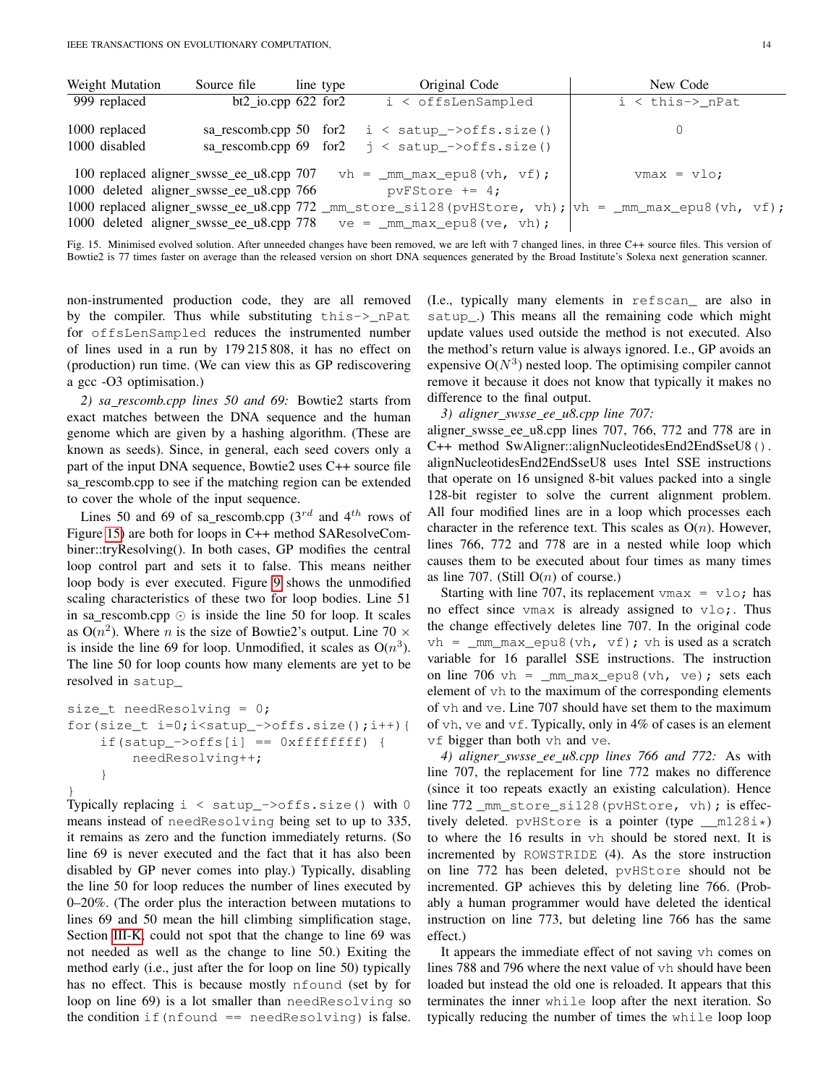| Weight Mutation                | Source file                              | line type | Original Code                                                                                                                                                                     | New Code          |
|--------------------------------|------------------------------------------|-----------|-----------------------------------------------------------------------------------------------------------------------------------------------------------------------------------|-------------------|
| 999 replaced                   | $bt2\_{io.cpp}$ 622 for2                 |           | i < offsLenSampled                                                                                                                                                                | $i$ < this-> nPat |
| 1000 replaced<br>1000 disabled |                                          |           | sa_rescomb.cpp 50 for2 $i <$ satup_->offs.size()<br>sa_rescomb.cpp 69 for2 $j <$ satup_->offs.size()                                                                              | 0                 |
|                                | 1000 deleted aligner_swsse_ee_u8.cpp 766 |           | 100 replaced aligner swsse ee u8.cpp 707 $\forall$ b = _mm_max_epu8 ( $\forall$ h, $\forall$ f);<br>pvFStore $+= 4$ ;                                                             | $vmax = vlo$ :    |
|                                |                                          |           | 1000 replaced aligner_swsse_ee_u8.cpp 772 _mm_store_si128(pvHStore, vh); vh = _mm_max_epu8(vh, vf);<br>1000 deleted aligner_swsse_ee_u8.cpp 778 ve = $_{mm\_max\_epu8}$ (ve, vh); |                   |

<span id="page-13-0"></span>Fig. 15. Minimised evolved solution. After unneeded changes have been removed, we are left with 7 changed lines, in three C++ source files. This version of Bowtie2 is 77 times faster on average than the released version on short DNA sequences generated by the Broad Institute's Solexa next generation scanner.

non-instrumented production code, they are all removed by the compiler. Thus while substituting this->\_nPat for offsLenSampled reduces the instrumented number of lines used in a run by 179 215 808, it has no effect on (production) run time. (We can view this as GP rediscovering a gcc -O3 optimisation.)

*2) sa rescomb.cpp lines 50 and 69:* Bowtie2 starts from exact matches between the DNA sequence and the human genome which are given by a hashing algorithm. (These are known as seeds). Since, in general, each seed covers only a part of the input DNA sequence, Bowtie2 uses C++ source file sa rescomb.cpp to see if the matching region can be extended to cover the whole of the input sequence.

Lines 50 and 69 of sa\_rescomb.cpp  $(3^{rd}$  and  $4^{th}$  rows of Figure [15\)](#page-13-0) are both for loops in C++ method SAResolveCombiner::tryResolving(). In both cases, GP modifies the central loop control part and sets it to false. This means neither loop body is ever executed. Figure [9](#page-9-1) shows the unmodified scaling characteristics of these two for loop bodies. Line 51 in sa\_rescomb.cpp  $\odot$  is inside the line 50 for loop. It scales as  $O(n^2)$ . Where *n* is the size of Bowtie2's output. Line 70  $\times$ is inside the line 69 for loop. Unmodified, it scales as  $O(n^3)$ . The line 50 for loop counts how many elements are yet to be resolved in satup\_

```
size_t needResolving = 0;
for(size_t i=0;i<satup_->offs.size();i++){
    if(satup_\texttt{-}>offs[i] == 0xffffffff) {
        needResolving++;
    }
}
```
Typically replacing  $i <$  satup\_->offs.size() with 0 means instead of needResolving being set to up to 335, it remains as zero and the function immediately returns. (So line 69 is never executed and the fact that it has also been disabled by GP never comes into play.) Typically, disabling the line 50 for loop reduces the number of lines executed by 0–20%. (The order plus the interaction between mutations to lines 69 and 50 mean the hill climbing simplification stage, Section [III-K,](#page-7-3) could not spot that the change to line 69 was not needed as well as the change to line 50.) Exiting the method early (i.e., just after the for loop on line 50) typically has no effect. This is because mostly nfound (set by for loop on line 69) is a lot smaller than needResolving so the condition if (nfound  $==$  needResolving) is false.

(I.e., typically many elements in refscan\_ are also in satup\_.) This means all the remaining code which might update values used outside the method is not executed. Also the method's return value is always ignored. I.e., GP avoids an expensive  $O(N^3)$  nested loop. The optimising compiler cannot remove it because it does not know that typically it makes no difference to the final output.

*3) aligner swsse ee u8.cpp line 707:*

aligner\_swsse\_ee\_u8.cpp lines 707, 766, 772 and 778 are in C++ method SwAligner::alignNucleotidesEnd2EndSseU8(). alignNucleotidesEnd2EndSseU8 uses Intel SSE instructions that operate on 16 unsigned 8-bit values packed into a single 128-bit register to solve the current alignment problem. All four modified lines are in a loop which processes each character in the reference text. This scales as  $O(n)$ . However, lines 766, 772 and 778 are in a nested while loop which causes them to be executed about four times as many times as line 707. (Still  $O(n)$  of course.)

Starting with line 707, its replacement vmax =  $v$ lo; has no effect since vmax is already assigned to  $v \text{lo}$ ;. Thus the change effectively deletes line 707. In the original code  $vh = \text{mm_max\_epu8} (vh, vf)$ ; vh is used as a scratch variable for 16 parallel SSE instructions. The instruction on line 706 vh =  $\text{mm}$  max epu8(vh, ve); sets each element of vh to the maximum of the corresponding elements of vh and ve. Line 707 should have set them to the maximum of vh, ve and  $v f$ . Typically, only in 4% of cases is an element vf bigger than both vh and ve.

*4) aligner swsse ee u8.cpp lines 766 and 772:* As with line 707, the replacement for line 772 makes no difference (since it too repeats exactly an existing calculation). Hence line 772 \_mm\_store\_si128(pvHStore, vh); is effectively deleted. pvHStore is a pointer (type  $_m128i*)$ to where the 16 results in vh should be stored next. It is incremented by ROWSTRIDE (4). As the store instruction on line 772 has been deleted, pvHStore should not be incremented. GP achieves this by deleting line 766. (Probably a human programmer would have deleted the identical instruction on line 773, but deleting line 766 has the same effect.)

It appears the immediate effect of not saving vh comes on lines 788 and 796 where the next value of vh should have been loaded but instead the old one is reloaded. It appears that this terminates the inner while loop after the next iteration. So typically reducing the number of times the while loop loop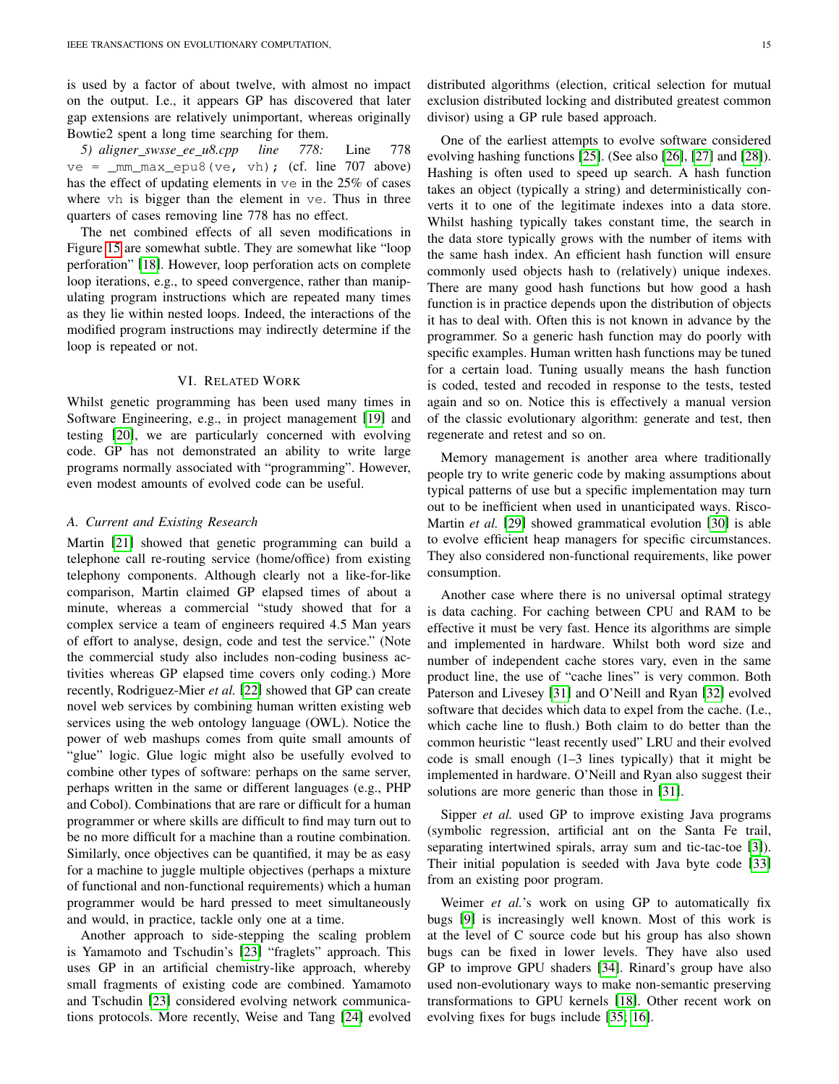is used by a factor of about twelve, with almost no impact on the output. I.e., it appears GP has discovered that later gap extensions are relatively unimportant, whereas originally Bowtie2 spent a long time searching for them.

<span id="page-14-1"></span>*5) aligner swsse ee u8.cpp line 778:* Line 778  $ve = \text{mm}$  max epu8 (ve, vh); (cf. line 707 above) has the effect of updating elements in  $ve$  in the 25% of cases where vh is bigger than the element in ve. Thus in three quarters of cases removing line 778 has no effect.

The net combined effects of all seven modifications in Figure [15](#page-13-0) are somewhat subtle. They are somewhat like "loop perforation" [\[18\]](#page-16-18). However, loop perforation acts on complete loop iterations, e.g., to speed convergence, rather than manipulating program instructions which are repeated many times as they lie within nested loops. Indeed, the interactions of the modified program instructions may indirectly determine if the loop is repeated or not.

## VI. RELATED WORK

<span id="page-14-0"></span>Whilst genetic programming has been used many times in Software Engineering, e.g., in project management [\[19\]](#page-16-19) and testing [\[20\]](#page-16-20), we are particularly concerned with evolving code. GP has not demonstrated an ability to write large programs normally associated with "programming". However, even modest amounts of evolved code can be useful.

#### *A. Current and Existing Research*

Martin [\[21\]](#page-16-21) showed that genetic programming can build a telephone call re-routing service (home/office) from existing telephony components. Although clearly not a like-for-like comparison, Martin claimed GP elapsed times of about a minute, whereas a commercial "study showed that for a complex service a team of engineers required 4.5 Man years of effort to analyse, design, code and test the service." (Note the commercial study also includes non-coding business activities whereas GP elapsed time covers only coding.) More recently, Rodriguez-Mier *et al.* [\[22\]](#page-16-22) showed that GP can create novel web services by combining human written existing web services using the web ontology language (OWL). Notice the power of web mashups comes from quite small amounts of "glue" logic. Glue logic might also be usefully evolved to combine other types of software: perhaps on the same server, perhaps written in the same or different languages (e.g., PHP and Cobol). Combinations that are rare or difficult for a human programmer or where skills are difficult to find may turn out to be no more difficult for a machine than a routine combination. Similarly, once objectives can be quantified, it may be as easy for a machine to juggle multiple objectives (perhaps a mixture of functional and non-functional requirements) which a human programmer would be hard pressed to meet simultaneously and would, in practice, tackle only one at a time.

Another approach to side-stepping the scaling problem is Yamamoto and Tschudin's [\[23\]](#page-16-23) "fraglets" approach. This uses GP in an artificial chemistry-like approach, whereby small fragments of existing code are combined. Yamamoto and Tschudin [\[23\]](#page-16-23) considered evolving network communications protocols. More recently, Weise and Tang [\[24\]](#page-17-0) evolved distributed algorithms (election, critical selection for mutual exclusion distributed locking and distributed greatest common divisor) using a GP rule based approach.

One of the earliest attempts to evolve software considered evolving hashing functions [\[25\]](#page-17-1). (See also [\[26\]](#page-17-2), [\[27\]](#page-17-3) and [\[28\]](#page-17-4)). Hashing is often used to speed up search. A hash function takes an object (typically a string) and deterministically converts it to one of the legitimate indexes into a data store. Whilst hashing typically takes constant time, the search in the data store typically grows with the number of items with the same hash index. An efficient hash function will ensure commonly used objects hash to (relatively) unique indexes. There are many good hash functions but how good a hash function is in practice depends upon the distribution of objects it has to deal with. Often this is not known in advance by the programmer. So a generic hash function may do poorly with specific examples. Human written hash functions may be tuned for a certain load. Tuning usually means the hash function is coded, tested and recoded in response to the tests, tested again and so on. Notice this is effectively a manual version of the classic evolutionary algorithm: generate and test, then regenerate and retest and so on.

Memory management is another area where traditionally people try to write generic code by making assumptions about typical patterns of use but a specific implementation may turn out to be inefficient when used in unanticipated ways. Risco-Martin *et al.* [\[29\]](#page-17-5) showed grammatical evolution [\[30\]](#page-17-6) is able to evolve efficient heap managers for specific circumstances. They also considered non-functional requirements, like power consumption.

Another case where there is no universal optimal strategy is data caching. For caching between CPU and RAM to be effective it must be very fast. Hence its algorithms are simple and implemented in hardware. Whilst both word size and number of independent cache stores vary, even in the same product line, the use of "cache lines" is very common. Both Paterson and Livesey [\[31\]](#page-17-7) and O'Neill and Ryan [\[32\]](#page-17-8) evolved software that decides which data to expel from the cache. (I.e., which cache line to flush.) Both claim to do better than the common heuristic "least recently used" LRU and their evolved code is small enough (1–3 lines typically) that it might be implemented in hardware. O'Neill and Ryan also suggest their solutions are more generic than those in [\[31\]](#page-17-7).

Sipper *et al.* used GP to improve existing Java programs (symbolic regression, artificial ant on the Santa Fe trail, separating intertwined spirals, array sum and tic-tac-toe [\[3\]](#page-16-2)). Their initial population is seeded with Java byte code [\[33\]](#page-17-9) from an existing poor program.

Weimer *et al.*'s work on using GP to automatically fix bugs [\[9\]](#page-16-8) is increasingly well known. Most of this work is at the level of C source code but his group has also shown bugs can be fixed in lower levels. They have also used GP to improve GPU shaders [\[34\]](#page-17-10). Rinard's group have also used non-evolutionary ways to make non-semantic preserving transformations to GPU kernels [\[18\]](#page-16-18). Other recent work on evolving fixes for bugs include [\[35;](#page-17-11) [16\]](#page-16-16).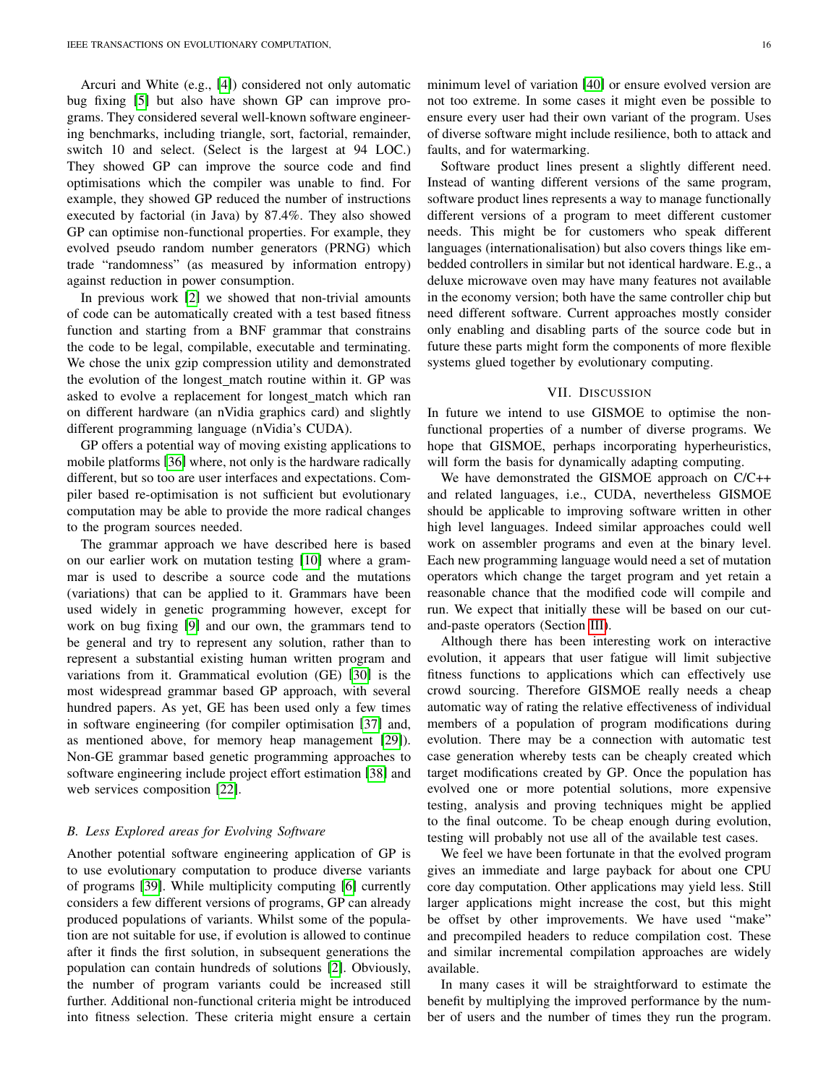Arcuri and White (e.g., [\[4\]](#page-16-3)) considered not only automatic bug fixing [\[5\]](#page-16-4) but also have shown GP can improve programs. They considered several well-known software engineering benchmarks, including triangle, sort, factorial, remainder, switch 10 and select. (Select is the largest at 94 LOC.) They showed GP can improve the source code and find optimisations which the compiler was unable to find. For example, they showed GP reduced the number of instructions executed by factorial (in Java) by 87.4%. They also showed GP can optimise non-functional properties. For example, they evolved pseudo random number generators (PRNG) which trade "randomness" (as measured by information entropy) against reduction in power consumption.

In previous work [\[2\]](#page-16-1) we showed that non-trivial amounts of code can be automatically created with a test based fitness function and starting from a BNF grammar that constrains the code to be legal, compilable, executable and terminating. We chose the unix gzip compression utility and demonstrated the evolution of the longest match routine within it. GP was asked to evolve a replacement for longest match which ran on different hardware (an nVidia graphics card) and slightly different programming language (nVidia's CUDA).

GP offers a potential way of moving existing applications to mobile platforms [\[36\]](#page-17-12) where, not only is the hardware radically different, but so too are user interfaces and expectations. Compiler based re-optimisation is not sufficient but evolutionary computation may be able to provide the more radical changes to the program sources needed.

The grammar approach we have described here is based on our earlier work on mutation testing [\[10\]](#page-16-9) where a grammar is used to describe a source code and the mutations (variations) that can be applied to it. Grammars have been used widely in genetic programming however, except for work on bug fixing [\[9\]](#page-16-8) and our own, the grammars tend to be general and try to represent any solution, rather than to represent a substantial existing human written program and variations from it. Grammatical evolution (GE) [\[30\]](#page-17-6) is the most widespread grammar based GP approach, with several hundred papers. As yet, GE has been used only a few times in software engineering (for compiler optimisation [\[37\]](#page-17-13) and, as mentioned above, for memory heap management [\[29\]](#page-17-5)). Non-GE grammar based genetic programming approaches to software engineering include project effort estimation [\[38\]](#page-17-14) and web services composition [\[22\]](#page-16-22).

## *B. Less Explored areas for Evolving Software*

Another potential software engineering application of GP is to use evolutionary computation to produce diverse variants of programs [\[39\]](#page-17-15). While multiplicity computing [\[6\]](#page-16-5) currently considers a few different versions of programs, GP can already produced populations of variants. Whilst some of the population are not suitable for use, if evolution is allowed to continue after it finds the first solution, in subsequent generations the population can contain hundreds of solutions [\[2\]](#page-16-1). Obviously, the number of program variants could be increased still further. Additional non-functional criteria might be introduced into fitness selection. These criteria might ensure a certain minimum level of variation [\[40\]](#page-17-16) or ensure evolved version are not too extreme. In some cases it might even be possible to ensure every user had their own variant of the program. Uses of diverse software might include resilience, both to attack and faults, and for watermarking.

Software product lines present a slightly different need. Instead of wanting different versions of the same program, software product lines represents a way to manage functionally different versions of a program to meet different customer needs. This might be for customers who speak different languages (internationalisation) but also covers things like embedded controllers in similar but not identical hardware. E.g., a deluxe microwave oven may have many features not available in the economy version; both have the same controller chip but need different software. Current approaches mostly consider only enabling and disabling parts of the source code but in future these parts might form the components of more flexible systems glued together by evolutionary computing.

## VII. DISCUSSION

<span id="page-15-0"></span>In future we intend to use GISMOE to optimise the nonfunctional properties of a number of diverse programs. We hope that GISMOE, perhaps incorporating hyperheuristics, will form the basis for dynamically adapting computing.

We have demonstrated the GISMOE approach on C/C++ and related languages, i.e., CUDA, nevertheless GISMOE should be applicable to improving software written in other high level languages. Indeed similar approaches could well work on assembler programs and even at the binary level. Each new programming language would need a set of mutation operators which change the target program and yet retain a reasonable chance that the modified code will compile and run. We expect that initially these will be based on our cutand-paste operators (Section [III\)](#page-2-2).

Although there has been interesting work on interactive evolution, it appears that user fatigue will limit subjective fitness functions to applications which can effectively use crowd sourcing. Therefore GISMOE really needs a cheap automatic way of rating the relative effectiveness of individual members of a population of program modifications during evolution. There may be a connection with automatic test case generation whereby tests can be cheaply created which target modifications created by GP. Once the population has evolved one or more potential solutions, more expensive testing, analysis and proving techniques might be applied to the final outcome. To be cheap enough during evolution, testing will probably not use all of the available test cases.

We feel we have been fortunate in that the evolved program gives an immediate and large payback for about one CPU core day computation. Other applications may yield less. Still larger applications might increase the cost, but this might be offset by other improvements. We have used "make" and precompiled headers to reduce compilation cost. These and similar incremental compilation approaches are widely available.

In many cases it will be straightforward to estimate the benefit by multiplying the improved performance by the number of users and the number of times they run the program.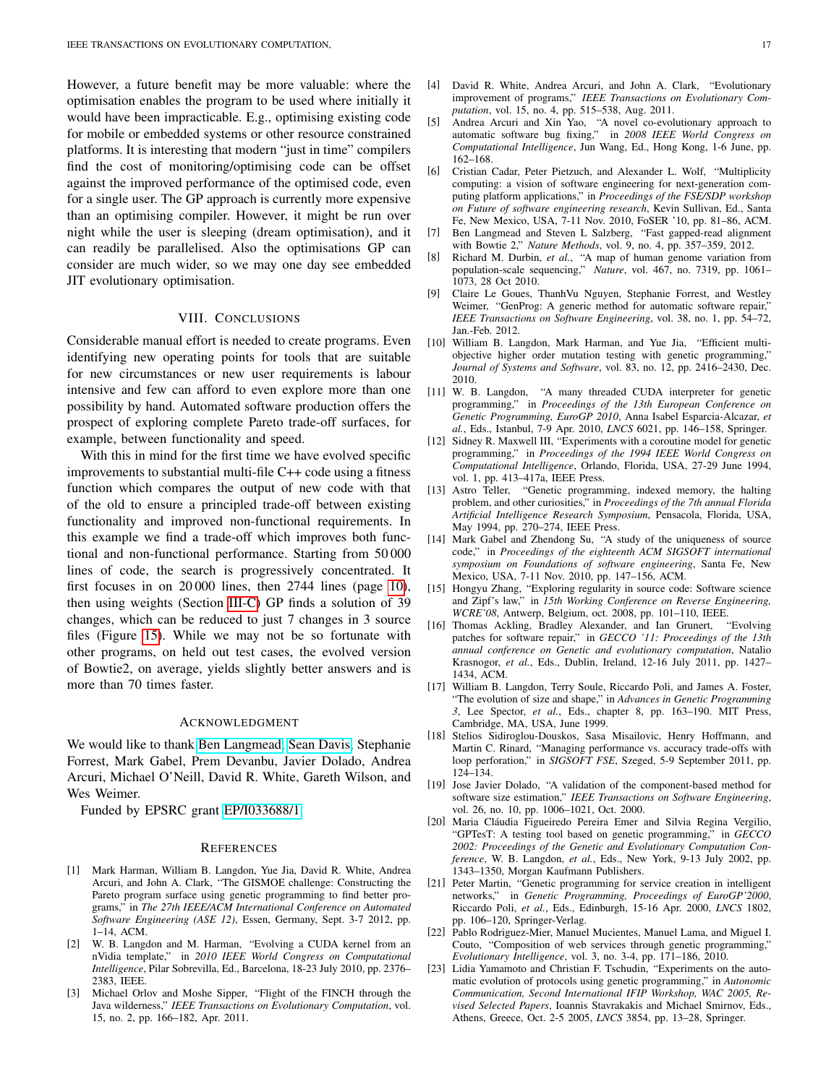However, a future benefit may be more valuable: where the optimisation enables the program to be used where initially it would have been impracticable. E.g., optimising existing code for mobile or embedded systems or other resource constrained platforms. It is interesting that modern "just in time" compilers find the cost of monitoring/optimising code can be offset against the improved performance of the optimised code, even for a single user. The GP approach is currently more expensive than an optimising compiler. However, it might be run over night while the user is sleeping (dream optimisation), and it can readily be parallelised. Also the optimisations GP can consider are much wider, so we may one day see embedded JIT evolutionary optimisation.

## VIII. CONCLUSIONS

<span id="page-16-10"></span>Considerable manual effort is needed to create programs. Even identifying new operating points for tools that are suitable for new circumstances or new user requirements is labour intensive and few can afford to even explore more than one possibility by hand. Automated software production offers the prospect of exploring complete Pareto trade-off surfaces, for example, between functionality and speed.

With this in mind for the first time we have evolved specific improvements to substantial multi-file C++ code using a fitness function which compares the output of new code with that of the old to ensure a principled trade-off between existing functionality and improved non-functional requirements. In this example we find a trade-off which improves both functional and non-functional performance. Starting from 50 000 lines of code, the search is progressively concentrated. It first focuses in on 20 000 lines, then 2744 lines (page [10\)](#page-9-1), then using weights (Section [III-C\)](#page-3-0) GP finds a solution of 39 changes, which can be reduced to just 7 changes in 3 source files (Figure [15\)](#page-13-0). While we may not be so fortunate with other programs, on held out test cases, the evolved version of Bowtie2, on average, yields slightly better answers and is more than 70 times faster.

#### ACKNOWLEDGMENT

We would like to thank [Ben Langmead,](http://www.cbcb.umd.edu/~langmead/) [Sean Davis,](http://watson.nci.nih.gov/~sdavis) Stephanie Forrest, Mark Gabel, Prem Devanbu, Javier Dolado, Andrea Arcuri, Michael O'Neill, David R. White, Gareth Wilson, and Wes Weimer.

Funded by EPSRC grant [EP/I033688/1.](http://gow.epsrc.ac.uk/NGBOViewGrant.aspx?GrantRef=EP/I033688/1)

#### **REFERENCES**

- <span id="page-16-0"></span>[1] Mark Harman, William B. Langdon, Yue Jia, David R. White, Andrea Arcuri, and John A. Clark, "The GISMOE challenge: Constructing the Pareto program surface using genetic programming to find better programs," in *The 27th IEEE/ACM International Conference on Automated Software Engineering (ASE 12)*, Essen, Germany, Sept. 3-7 2012, pp. 1–14, ACM.
- <span id="page-16-1"></span>[2] W. B. Langdon and M. Harman, "Evolving a CUDA kernel from an nVidia template," in *2010 IEEE World Congress on Computational Intelligence*, Pilar Sobrevilla, Ed., Barcelona, 18-23 July 2010, pp. 2376– 2383, IEEE.
- <span id="page-16-2"></span>[3] Michael Orlov and Moshe Sipper, "Flight of the FINCH through the Java wilderness," *IEEE Transactions on Evolutionary Computation*, vol. 15, no. 2, pp. 166–182, Apr. 2011.
- <span id="page-16-3"></span>[4] David R. White, Andrea Arcuri, and John A. Clark, "Evolutionary improvement of programs," *IEEE Transactions on Evolutionary Computation*, vol. 15, no. 4, pp. 515–538, Aug. 2011.
- <span id="page-16-4"></span>[5] Andrea Arcuri and Xin Yao, "A novel co-evolutionary approach to automatic software bug fixing," in *2008 IEEE World Congress on Computational Intelligence*, Jun Wang, Ed., Hong Kong, 1-6 June, pp. 162–168.
- <span id="page-16-5"></span>[6] Cristian Cadar, Peter Pietzuch, and Alexander L. Wolf, "Multiplicity computing: a vision of software engineering for next-generation computing platform applications," in *Proceedings of the FSE/SDP workshop on Future of software engineering research*, Kevin Sullivan, Ed., Santa Fe, New Mexico, USA, 7-11 Nov. 2010, FoSER '10, pp. 81–86, ACM.
- <span id="page-16-6"></span>[7] Ben Langmead and Steven L Salzberg, "Fast gapped-read alignment with Bowtie 2," *Nature Methods*, vol. 9, no. 4, pp. 357–359, 2012.
- <span id="page-16-7"></span>Richard M. Durbin, et al., "A map of human genome variation from population-scale sequencing," *Nature*, vol. 467, no. 7319, pp. 1061– 1073, 28 Oct 2010.
- <span id="page-16-8"></span>[9] Claire Le Goues, ThanhVu Nguyen, Stephanie Forrest, and Westley Weimer, "GenProg: A generic method for automatic software repair," *IEEE Transactions on Software Engineering*, vol. 38, no. 1, pp. 54–72, Jan.-Feb. 2012.
- <span id="page-16-9"></span>[10] William B. Langdon, Mark Harman, and Yue Jia, "Efficient multiobjective higher order mutation testing with genetic programming," *Journal of Systems and Software*, vol. 83, no. 12, pp. 2416–2430, Dec. 2010.
- <span id="page-16-11"></span>[11] W. B. Langdon, "A many threaded CUDA interpreter for genetic programming," in *Proceedings of the 13th European Conference on Genetic Programming, EuroGP 2010*, Anna Isabel Esparcia-Alcazar, *et al.*, Eds., Istanbul, 7-9 Apr. 2010, *LNCS* 6021, pp. 146–158, Springer.
- <span id="page-16-12"></span>[12] Sidney R. Maxwell III, "Experiments with a coroutine model for genetic programming," in *Proceedings of the 1994 IEEE World Congress on Computational Intelligence*, Orlando, Florida, USA, 27-29 June 1994, vol. 1, pp. 413–417a, IEEE Press.
- <span id="page-16-13"></span>[13] Astro Teller, "Genetic programming, indexed memory, the halting problem, and other curiosities," in *Proceedings of the 7th annual Florida Artificial Intelligence Research Symposium*, Pensacola, Florida, USA, May 1994, pp. 270–274, IEEE Press.
- <span id="page-16-14"></span>[14] Mark Gabel and Zhendong Su, "A study of the uniqueness of source code," in *Proceedings of the eighteenth ACM SIGSOFT international symposium on Foundations of software engineering*, Santa Fe, New Mexico, USA, 7-11 Nov. 2010, pp. 147–156, ACM.
- <span id="page-16-15"></span>[15] Hongyu Zhang, "Exploring regularity in source code: Software science and Zipf's law," in *15th Working Conference on Reverse Engineering, WCRE'08*, Antwerp, Belgium, oct. 2008, pp. 101–110, IEEE.
- <span id="page-16-16"></span>[16] Thomas Ackling, Bradley Alexander, and Ian Grunert, "Evolving patches for software repair," in *GECCO '11: Proceedings of the 13th annual conference on Genetic and evolutionary computation*, Natalio Krasnogor, *et al.*, Eds., Dublin, Ireland, 12-16 July 2011, pp. 1427– 1434, ACM.
- <span id="page-16-17"></span>[17] William B. Langdon, Terry Soule, Riccardo Poli, and James A. Foster, "The evolution of size and shape," in *Advances in Genetic Programming 3*, Lee Spector, *et al.*, Eds., chapter 8, pp. 163–190. MIT Press, Cambridge, MA, USA, June 1999.
- <span id="page-16-18"></span>[18] Stelios Sidiroglou-Douskos, Sasa Misailovic, Henry Hoffmann, and Martin C. Rinard, "Managing performance vs. accuracy trade-offs with loop perforation," in *SIGSOFT FSE*, Szeged, 5-9 September 2011, pp. 124–134.
- <span id="page-16-19"></span>[19] Jose Javier Dolado, "A validation of the component-based method for software size estimation," *IEEE Transactions on Software Engineering*, vol. 26, no. 10, pp. 1006–1021, Oct. 2000.
- <span id="page-16-20"></span>[20] Maria Cláudia Figueiredo Pereira Emer and Silvia Regina Vergilio, "GPTesT: A testing tool based on genetic programming," in *GECCO 2002: Proceedings of the Genetic and Evolutionary Computation Conference*, W. B. Langdon, *et al.*, Eds., New York, 9-13 July 2002, pp. 1343–1350, Morgan Kaufmann Publishers.
- <span id="page-16-21"></span>[21] Peter Martin, "Genetic programming for service creation in intelligent networks," in *Genetic Programming, Proceedings of EuroGP'2000*, Riccardo Poli, *et al.*, Eds., Edinburgh, 15-16 Apr. 2000, *LNCS* 1802, pp. 106–120, Springer-Verlag.
- <span id="page-16-22"></span>[22] Pablo Rodriguez-Mier, Manuel Mucientes, Manuel Lama, and Miguel I. Couto, "Composition of web services through genetic programming," *Evolutionary Intelligence*, vol. 3, no. 3-4, pp. 171–186, 2010.
- <span id="page-16-23"></span>[23] Lidia Yamamoto and Christian F. Tschudin, "Experiments on the automatic evolution of protocols using genetic programming," in *Autonomic Communication, Second International IFIP Workshop, WAC 2005, Revised Selected Papers*, Ioannis Stavrakakis and Michael Smirnov, Eds., Athens, Greece, Oct. 2-5 2005, *LNCS* 3854, pp. 13–28, Springer.